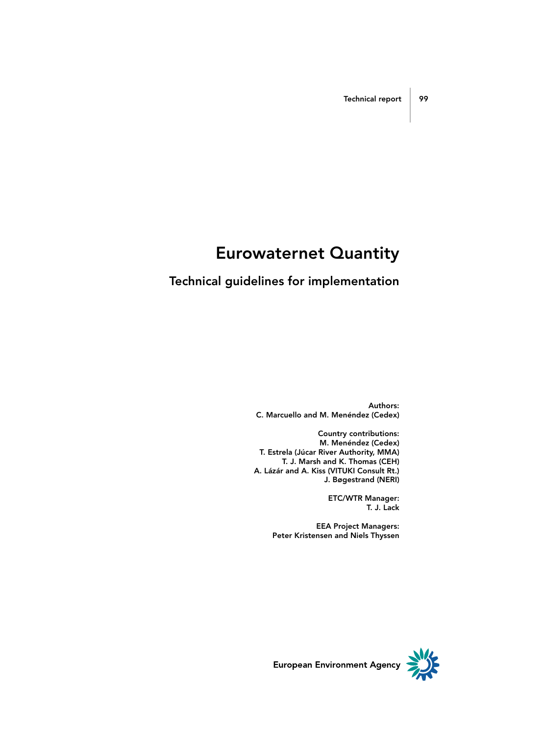## Eurowaternet Quantity

## Technical guidelines for implementation

Authors: C. Marcuello and M. Menéndez (Cedex)

Country contributions: M. Menéndez (Cedex) T. Estrela (Júcar River Authority, MMA) T. J. Marsh and K. Thomas (CEH) A. Lázár and A. Kiss (VITUKI Consult Rt.) J. Bøgestrand (NERI)

> ETC/WTR Manager: T. J. Lack

EEA Project Managers: Peter Kristensen and Niels Thyssen

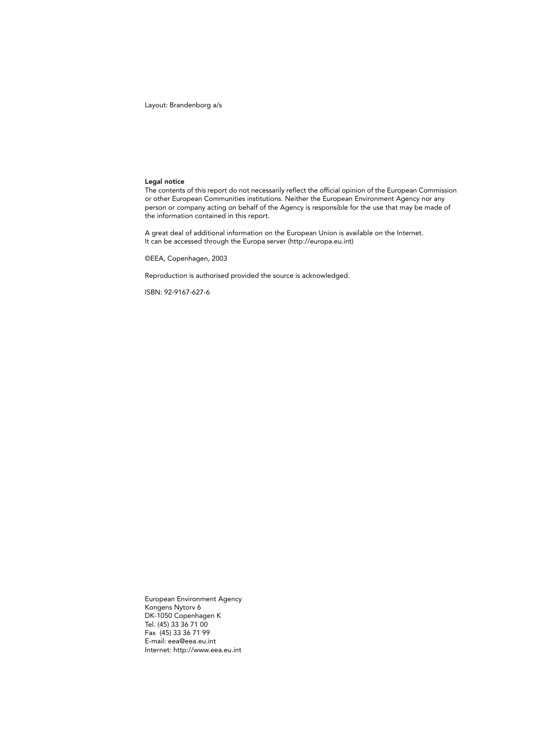Layout: Brandenborg a/s

#### Legal notice

The contents of this report do not necessarily reflect the official opinion of the European Commission or other European Communities institutions. Neither the European Environment Agency nor any person or company acting on behalf of the Agency is responsible for the use that may be made of the information contained in this report.

A great deal of additional information on the European Union is available on the Internet. It can be accessed through the Europa server (http://europa.eu.int)

©EEA, Copenhagen, 2003

Reproduction is authorised provided the source is acknowledged.

ISBN: 92-9167-627-6

European Environment Agency Kongens Nytorv 6 DK-1050 Copenhagen K Tel. (45) 33 36 71 00 Fax (45) 33 36 71 99 E-mail: eea@eea.eu.int Internet: http://www.eea.eu.int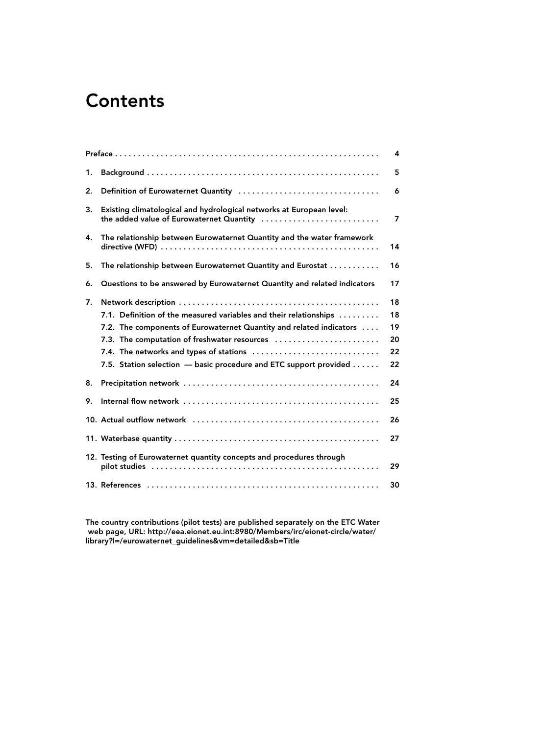## **Contents**

|    |                                                                                                                                                                                                                                                                                                          | 4                                |
|----|----------------------------------------------------------------------------------------------------------------------------------------------------------------------------------------------------------------------------------------------------------------------------------------------------------|----------------------------------|
| 1. |                                                                                                                                                                                                                                                                                                          | 5                                |
| 2. |                                                                                                                                                                                                                                                                                                          | 6                                |
| 3. | Existing climatological and hydrological networks at European level:<br>the added value of Eurowaternet Quantity                                                                                                                                                                                         | $\overline{\mathbf{z}}$          |
| 4. | The relationship between Eurowaternet Quantity and the water framework                                                                                                                                                                                                                                   | 14                               |
| 5. | The relationship between Eurowaternet Quantity and Eurostat                                                                                                                                                                                                                                              | 16                               |
| 6. | Questions to be answered by Eurowaternet Quantity and related indicators                                                                                                                                                                                                                                 | 17                               |
| 7. | 7.1. Definition of the measured variables and their relationships<br>7.2. The components of Eurowaternet Quantity and related indicators<br>7.3. The computation of freshwater resources<br>7.4. The networks and types of stations<br>7.5. Station selection - basic procedure and ETC support provided | 18<br>18<br>19<br>20<br>22<br>22 |
| 8. |                                                                                                                                                                                                                                                                                                          | 24                               |
| 9. |                                                                                                                                                                                                                                                                                                          | 25                               |
|    |                                                                                                                                                                                                                                                                                                          | 26                               |
|    |                                                                                                                                                                                                                                                                                                          | 27                               |
|    | 12. Testing of Eurowaternet quantity concepts and procedures through                                                                                                                                                                                                                                     | 29                               |
|    |                                                                                                                                                                                                                                                                                                          | 30                               |

The country contributions (pilot tests) are published separately on the ETC Water web page, URL: http://eea.eionet.eu.int:8980/Members/irc/eionet-circle/water/ library?l=/eurowaternet\_guidelines&vm=detailed&sb=Title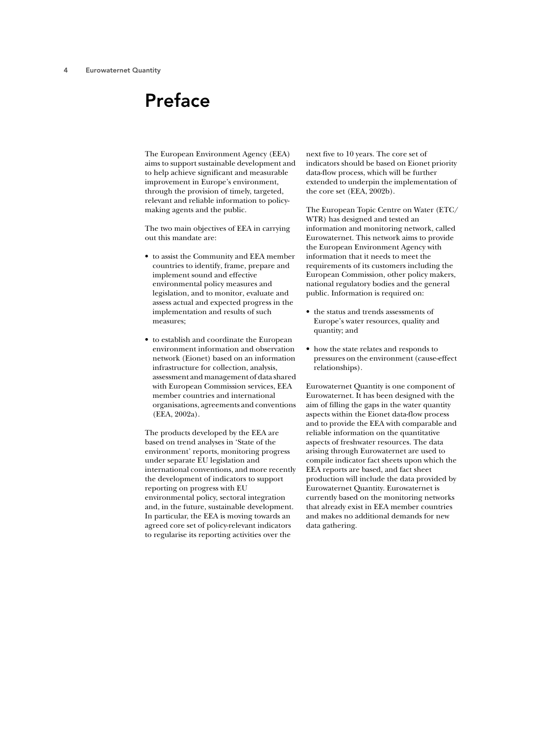## Preface

The European Environment Agency (EEA) aims to support sustainable development and to help achieve significant and measurable improvement in Europe's environment, through the provision of timely, targeted, relevant and reliable information to policymaking agents and the public.

The two main objectives of EEA in carrying out this mandate are:

- to assist the Community and EEA member countries to identify, frame, prepare and implement sound and effective environmental policy measures and legislation, and to monitor, evaluate and assess actual and expected progress in the implementation and results of such measures;
- to establish and coordinate the European environment information and observation network (Eionet) based on an information infrastructure for collection, analysis, assessment and management of data shared with European Commission services, EEA member countries and international organisations, agreements and conventions (EEA, 2002a).

The products developed by the EEA are based on trend analyses in 'State of the environment' reports, monitoring progress under separate EU legislation and international conventions, and more recently the development of indicators to support reporting on progress with EU environmental policy, sectoral integration and, in the future, sustainable development. In particular, the EEA is moving towards an agreed core set of policy-relevant indicators to regularise its reporting activities over the

next five to 10 years. The core set of indicators should be based on Eionet priority data-flow process, which will be further extended to underpin the implementation of the core set (EEA, 2002b).

The European Topic Centre on Water (ETC/ WTR) has designed and tested an information and monitoring network, called Eurowaternet. This network aims to provide the European Environment Agency with information that it needs to meet the requirements of its customers including the European Commission, other policy makers, national regulatory bodies and the general public. Information is required on:

- the status and trends assessments of Europe's water resources, quality and quantity; and
- how the state relates and responds to pressures on the environment (cause-effect relationships).

Eurowaternet Quantity is one component of Eurowaternet. It has been designed with the aim of filling the gaps in the water quantity aspects within the Eionet data-flow process and to provide the EEA with comparable and reliable information on the quantitative aspects of freshwater resources. The data arising through Eurowaternet are used to compile indicator fact sheets upon which the EEA reports are based, and fact sheet production will include the data provided by Eurowaternet Quantity. Eurowaternet is currently based on the monitoring networks that already exist in EEA member countries and makes no additional demands for new data gathering.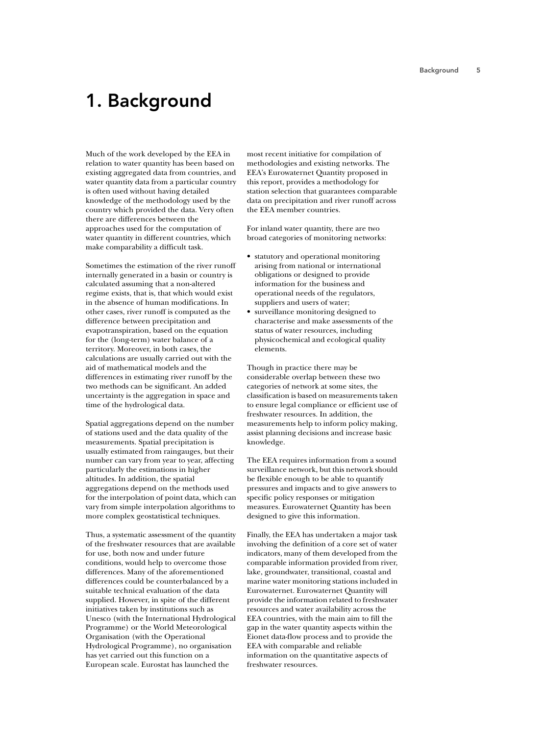## 1. Background

Much of the work developed by the EEA in relation to water quantity has been based on existing aggregated data from countries, and water quantity data from a particular country is often used without having detailed knowledge of the methodology used by the country which provided the data. Very often there are differences between the approaches used for the computation of water quantity in different countries, which make comparability a difficult task.

Sometimes the estimation of the river runoff internally generated in a basin or country is calculated assuming that a non-altered regime exists, that is, that which would exist in the absence of human modifications. In other cases, river runoff is computed as the difference between precipitation and evapotranspiration, based on the equation for the (long-term) water balance of a territory. Moreover, in both cases, the calculations are usually carried out with the aid of mathematical models and the differences in estimating river runoff by the two methods can be significant. An added uncertainty is the aggregation in space and time of the hydrological data.

Spatial aggregations depend on the number of stations used and the data quality of the measurements. Spatial precipitation is usually estimated from raingauges, but their number can vary from year to year, affecting particularly the estimations in higher altitudes. In addition, the spatial aggregations depend on the methods used for the interpolation of point data, which can vary from simple interpolation algorithms to more complex geostatistical techniques.

Thus, a systematic assessment of the quantity of the freshwater resources that are available for use, both now and under future conditions, would help to overcome those differences. Many of the aforementioned differences could be counterbalanced by a suitable technical evaluation of the data supplied. However, in spite of the different initiatives taken by institutions such as Unesco (with the International Hydrological Programme) or the World Meteorological Organisation (with the Operational Hydrological Programme), no organisation has yet carried out this function on a European scale. Eurostat has launched the

most recent initiative for compilation of methodologies and existing networks. The EEA's Eurowaternet Quantity proposed in this report, provides a methodology for station selection that guarantees comparable data on precipitation and river runoff across the EEA member countries.

For inland water quantity, there are two broad categories of monitoring networks:

- statutory and operational monitoring arising from national or international obligations or designed to provide information for the business and operational needs of the regulators, suppliers and users of water;
- surveillance monitoring designed to characterise and make assessments of the status of water resources, including physicochemical and ecological quality elements.

Though in practice there may be considerable overlap between these two categories of network at some sites, the classification is based on measurements taken to ensure legal compliance or efficient use of freshwater resources. In addition, the measurements help to inform policy making, assist planning decisions and increase basic knowledge.

The EEA requires information from a sound surveillance network, but this network should be flexible enough to be able to quantify pressures and impacts and to give answers to specific policy responses or mitigation measures. Eurowaternet Quantity has been designed to give this information.

Finally, the EEA has undertaken a major task involving the definition of a core set of water indicators, many of them developed from the comparable information provided from river, lake, groundwater, transitional, coastal and marine water monitoring stations included in Eurowaternet. Eurowaternet Quantity will provide the information related to freshwater resources and water availability across the EEA countries, with the main aim to fill the gap in the water quantity aspects within the Eionet data-flow process and to provide the EEA with comparable and reliable information on the quantitative aspects of freshwater resources.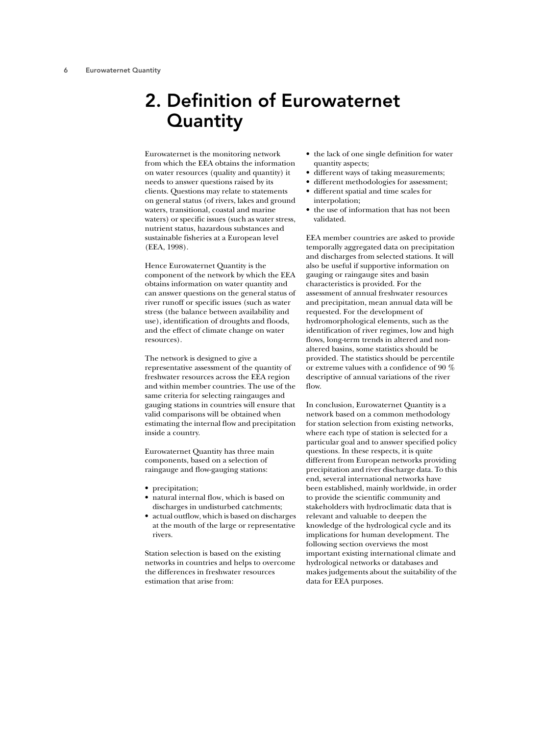## 2. Definition of Eurowaternet **Quantity**

Eurowaternet is the monitoring network from which the EEA obtains the information on water resources (quality and quantity) it needs to answer questions raised by its clients. Questions may relate to statements on general status (of rivers, lakes and ground waters, transitional, coastal and marine waters) or specific issues (such as water stress, nutrient status, hazardous substances and sustainable fisheries at a European level (EEA, 1998).

Hence Eurowaternet Quantity is the component of the network by which the EEA obtains information on water quantity and can answer questions on the general status of river runoff or specific issues (such as water stress (the balance between availability and use), identification of droughts and floods, and the effect of climate change on water resources).

The network is designed to give a representative assessment of the quantity of freshwater resources across the EEA region and within member countries. The use of the same criteria for selecting raingauges and gauging stations in countries will ensure that valid comparisons will be obtained when estimating the internal flow and precipitation inside a country.

Eurowaternet Quantity has three main components, based on a selection of raingauge and flow-gauging stations:

- precipitation;
- natural internal flow, which is based on discharges in undisturbed catchments;
- actual outflow, which is based on discharges at the mouth of the large or representative rivers.

Station selection is based on the existing networks in countries and helps to overcome the differences in freshwater resources estimation that arise from:

- the lack of one single definition for water quantity aspects;
- different ways of taking measurements;
- different methodologies for assessment;
- different spatial and time scales for interpolation;
- the use of information that has not been validated.

EEA member countries are asked to provide temporally aggregated data on precipitation and discharges from selected stations. It will also be useful if supportive information on gauging or raingauge sites and basin characteristics is provided. For the assessment of annual freshwater resources and precipitation, mean annual data will be requested. For the development of hydromorphological elements, such as the identification of river regimes, low and high flows, long-term trends in altered and nonaltered basins, some statistics should be provided. The statistics should be percentile or extreme values with a confidence of 90 % descriptive of annual variations of the river flow.

In conclusion, Eurowaternet Quantity is a network based on a common methodology for station selection from existing networks, where each type of station is selected for a particular goal and to answer specified policy questions. In these respects, it is quite different from European networks providing precipitation and river discharge data. To this end, several international networks have been established, mainly worldwide, in order to provide the scientific community and stakeholders with hydroclimatic data that is relevant and valuable to deepen the knowledge of the hydrological cycle and its implications for human development. The following section overviews the most important existing international climate and hydrological networks or databases and makes judgements about the suitability of the data for EEA purposes.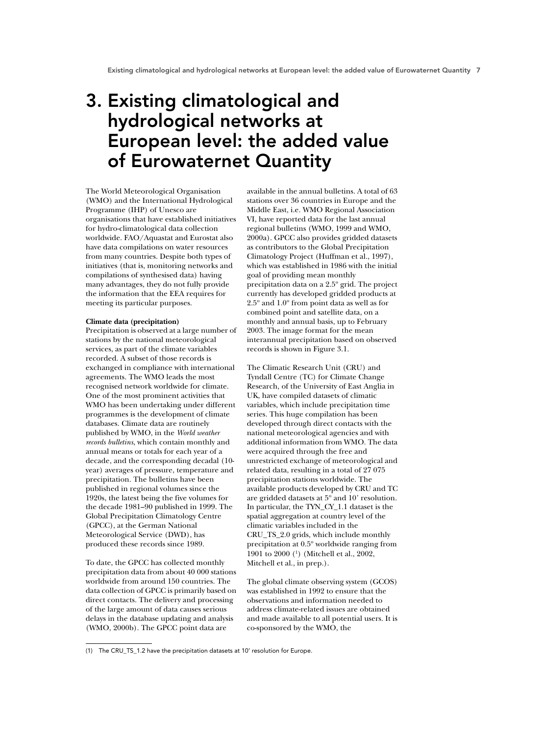## 3. Existing climatological and hydrological networks at European level: the added value of Eurowaternet Quantity

The World Meteorological Organisation (WMO) and the International Hydrological Programme (IHP) of Unesco are organisations that have established initiatives for hydro-climatological data collection worldwide. FAO/Aquastat and Eurostat also have data compilations on water resources from many countries. Despite both types of initiatives (that is, monitoring networks and compilations of synthesised data) having many advantages, they do not fully provide the information that the EEA requires for meeting its particular purposes.

### **Climate data (precipitation)**

Precipitation is observed at a large number of stations by the national meteorological services, as part of the climate variables recorded. A subset of those records is exchanged in compliance with international agreements. The WMO leads the most recognised network worldwide for climate. One of the most prominent activities that WMO has been undertaking under different programmes is the development of climate databases. Climate data are routinely published by WMO, in the *World weather records bulletins*, which contain monthly and annual means or totals for each year of a decade, and the corresponding decadal (10 year) averages of pressure, temperature and precipitation. The bulletins have been published in regional volumes since the 1920s, the latest being the five volumes for the decade 1981–90 published in 1999. The Global Precipitation Climatology Centre (GPCC), at the German National Meteorological Service (DWD), has produced these records since 1989.

To date, the GPCC has collected monthly precipitation data from about 40 000 stations worldwide from around 150 countries. The data collection of GPCC is primarily based on direct contacts. The delivery and processing of the large amount of data causes serious delays in the database updating and analysis (WMO, 2000b). The GPCC point data are

available in the annual bulletins. A total of 63 stations over 36 countries in Europe and the Middle East, i.e. WMO Regional Association VI, have reported data for the last annual regional bulletins (WMO, 1999 and WMO, 2000a). GPCC also provides gridded datasets as contributors to the Global Precipitation Climatology Project (Huffman et al., 1997), which was established in 1986 with the initial goal of providing mean monthly precipitation data on a 2.5º grid. The project currently has developed gridded products at 2.5º and 1.0º from point data as well as for combined point and satellite data, on a monthly and annual basis, up to February 2003. The image format for the mean interannual precipitation based on observed records is shown in Figure 3.1.

The Climatic Research Unit (CRU) and Tyndall Centre (TC) for Climate Change Research, of the University of East Anglia in UK, have compiled datasets of climatic variables, which include precipitation time series. This huge compilation has been developed through direct contacts with the national meteorological agencies and with additional information from WMO. The data were acquired through the free and unrestricted exchange of meteorological and related data, resulting in a total of 27 075 precipitation stations worldwide. The available products developed by CRU and TC are gridded datasets at 5º and 10' resolution. In particular, the TYN\_CY\_1.1 dataset is the spatial aggregation at country level of the climatic variables included in the CRU\_TS\_2.0 grids, which include monthly precipitation at 0.5º worldwide ranging from 1901 to 2000 (1) (Mitchell et al., 2002, Mitchell et al., in prep.).

The global climate observing system (GCOS) was established in 1992 to ensure that the observations and information needed to address climate-related issues are obtained and made available to all potential users. It is co-sponsored by the WMO, the

<sup>(1)</sup> The CRU\_TS\_1.2 have the precipitation datasets at 10' resolution for Europe.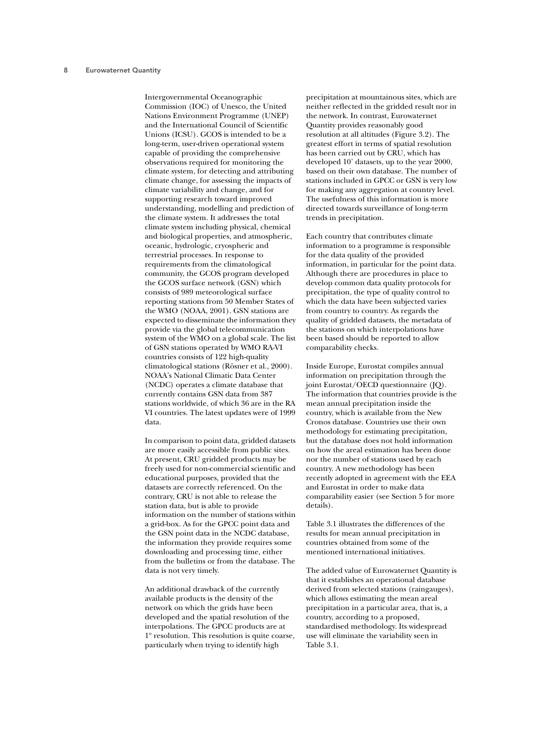Intergovernmental Oceanographic Commission (IOC) of Unesco, the United Nations Environment Programme (UNEP) and the International Council of Scientific Unions (ICSU). GCOS is intended to be a long-term, user-driven operational system capable of providing the comprehensive observations required for monitoring the climate system, for detecting and attributing climate change, for assessing the impacts of climate variability and change, and for supporting research toward improved understanding, modelling and prediction of the climate system. It addresses the total climate system including physical, chemical and biological properties, and atmospheric, oceanic, hydrologic, cryospheric and terrestrial processes. In response to requirements from the climatological community, the GCOS program developed the GCOS surface network (GSN) which consists of 989 meteorological surface reporting stations from 50 Member States of the WMO (NOAA, 2001). GSN stations are expected to disseminate the information they provide via the global telecommunication system of the WMO on a global scale. The list of GSN stations operated by WMO RA-VI countries consists of 122 high-quality climatological stations (Rösner et al., 2000). NOAA's National Climatic Data Center (NCDC) operates a climate database that currently contains GSN data from 387 stations worldwide, of which 36 are in the RA VI countries. The latest updates were of 1999 data.

In comparison to point data, gridded datasets are more easily accessible from public sites. At present, CRU gridded products may be freely used for non-commercial scientific and educational purposes, provided that the datasets are correctly referenced. On the contrary, CRU is not able to release the station data, but is able to provide information on the number of stations within a grid-box. As for the GPCC point data and the GSN point data in the NCDC database, the information they provide requires some downloading and processing time, either from the bulletins or from the database. The data is not very timely.

An additional drawback of the currently available products is the density of the network on which the grids have been developed and the spatial resolution of the interpolations. The GPCC products are at 1º resolution. This resolution is quite coarse, particularly when trying to identify high

precipitation at mountainous sites, which are neither reflected in the gridded result nor in the network. In contrast, Eurowaternet Quantity provides reasonably good resolution at all altitudes (Figure 3.2). The greatest effort in terms of spatial resolution has been carried out by CRU, which has developed 10' datasets, up to the year 2000, based on their own database. The number of stations included in GPCC or GSN is very low for making any aggregation at country level. The usefulness of this information is more directed towards surveillance of long-term trends in precipitation.

Each country that contributes climate information to a programme is responsible for the data quality of the provided information, in particular for the point data. Although there are procedures in place to develop common data quality protocols for precipitation, the type of quality control to which the data have been subjected varies from country to country. As regards the quality of gridded datasets, the metadata of the stations on which interpolations have been based should be reported to allow comparability checks.

Inside Europe, Eurostat compiles annual information on precipitation through the joint Eurostat/OECD questionnaire (JQ). The information that countries provide is the mean annual precipitation inside the country, which is available from the New Cronos database. Countries use their own methodology for estimating precipitation, but the database does not hold information on how the areal estimation has been done nor the number of stations used by each country. A new methodology has been recently adopted in agreement with the EEA and Eurostat in order to make data comparability easier (see Section 5 for more details).

Table 3.1 illustrates the differences of the results for mean annual precipitation in countries obtained from some of the mentioned international initiatives.

The added value of Eurowaternet Quantity is that it establishes an operational database derived from selected stations (raingauges), which allows estimating the mean areal precipitation in a particular area, that is, a country, according to a proposed, standardised methodology. Its widespread use will eliminate the variability seen in Table 3.1.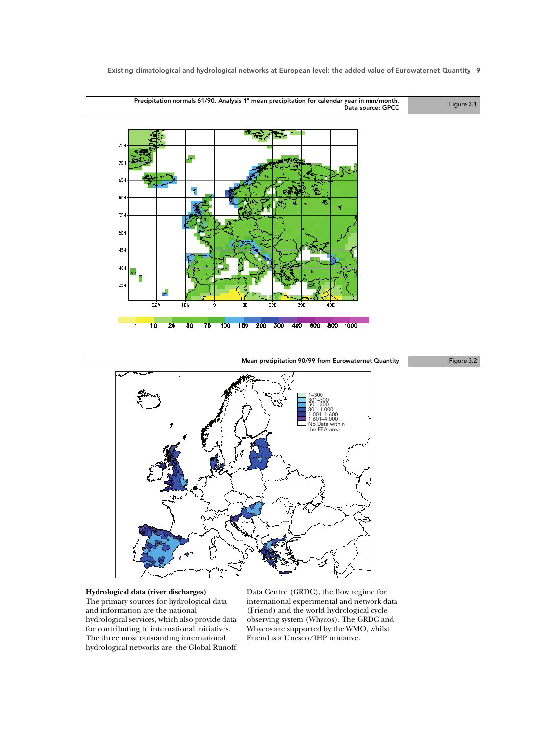Precipitation normals 61/90. Analysis 1º mean precipitation for calendar year in mm/month. year in mm/month.<br>Data source: GPCC Figure 3.1





### **Hydrological data (river discharges)**

The primary sources for hydrological data and information are the national hydrological services, which also provide data for contributing to international initiatives. The three most outstanding international hydrological networks are: the Global Runoff Data Centre (GRDC), the flow regime for international experimental and network data (Friend) and the world hydrological cycle observing system (Whycos). The GRDC and Whycos are supported by the WMO, whilst Friend is a Unesco/IHP initiative.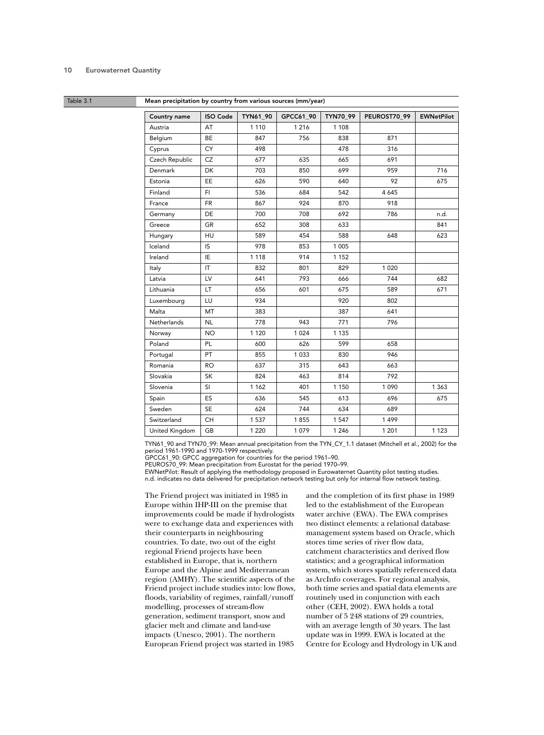### Table 3.1 Mean precipitation by country from various sources (mm/year)

| Country name       | <b>ISO Code</b>        | <b>TYN61 90</b> | GPCC61_90 | TYN70_99 | PEUROST70_99 | <b>EWNetPilot</b> |
|--------------------|------------------------|-----------------|-----------|----------|--------------|-------------------|
| Austria            | AT                     | 1 1 1 0         | 1 2 1 6   | 1 1 0 8  |              |                   |
| Belgium            | <b>BE</b>              | 847             | 756       | 838      | 871          |                   |
| Cyprus             | <b>CY</b>              | 498             |           | 478      | 316          |                   |
| Czech Republic     | <b>CZ</b>              | 677             | 635       | 665      | 691          |                   |
| Denmark            | <b>DK</b>              | 703             | 850       | 699      | 959          | 716               |
| Estonia            | <b>EE</b>              | 626             | 590       | 640      | 92           | 675               |
| Finland            | FI.                    | 536             | 684       | 542      | 4 6 4 5      |                   |
| France             | <b>FR</b>              | 867             | 924       | 870      | 918          |                   |
| Germany            | <b>DE</b>              | 700             | 708       | 692      | 786          | n.d.              |
| Greece             | GR                     | 652             | 308       | 633      |              | 841               |
| Hungary            | <b>HU</b>              | 589             | 454       | 588      | 648          | 623               |
| Iceland            | IS                     | 978             | 853       | 1 0 0 5  |              |                   |
| Ireland            | IE                     | 1 1 1 8         | 914       | 1 1 5 2  |              |                   |
| Italy              | $\mathsf{I}\mathsf{T}$ | 832             | 801       | 829      | 1 0 2 0      |                   |
| Latvia             | LV                     | 641             | 793       | 666      | 744          | 682               |
| Lithuania          | <b>LT</b>              | 656             | 601       | 675      | 589          | 671               |
| Luxembourg         | LU                     | 934             |           | 920      | 802          |                   |
| Malta              | MT                     | 383             |           | 387      | 641          |                   |
| <b>Netherlands</b> | <b>NL</b>              | 778             | 943       | 771      | 796          |                   |
| Norway             | <b>NO</b>              | 1 1 2 0         | 1 0 2 4   | 1 1 3 5  |              |                   |
| Poland             | PL                     | 600             | 626       | 599      | 658          |                   |
| Portugal           | PT                     | 855             | 1033      | 830      | 946          |                   |
| Romania            | <b>RO</b>              | 637             | 315       | 643      | 663          |                   |
| Slovakia           | <b>SK</b>              | 824             | 463       | 814      | 792          |                   |
| Slovenia           | SI.                    | 1 1 6 2         | 401       | 1 1 5 0  | 1 0 9 0      | 1 3 6 3           |
| Spain              | ES                     | 636             | 545       | 613      | 696          | 675               |
| Sweden             | <b>SE</b>              | 624             | 744       | 634      | 689          |                   |
| Switzerland        | <b>CH</b>              | 1 5 3 7         | 1855      | 1 5 4 7  | 1499         |                   |
| United Kingdom     | <b>GB</b>              | 1 2 2 0         | 1079      | 1 2 4 6  | 1 2 0 1      | 1 1 2 3           |

TYN61\_90 and TYN70\_99: Mean annual precipitation from the TYN\_CY\_1.1 dataset (Mitchell et al., 2002) for the period 1961-1990 and 1970-1999 respectively.

GPCC61\_90: GPCC aggregation for countries for the period 1961–90.

PEUROS70\_99: Mean precipitation from Eurostat for the period 1970–99.

EWNetPilot: Result of applying the methodology proposed in Eurowaternet Quantity pilot testing studies. n.d. indicates no data delivered for precipitation network testing but only for internal flow network testing.

The Friend project was initiated in 1985 in Europe within IHP-III on the premise that improvements could be made if hydrologists were to exchange data and experiences with their counterparts in neighbouring countries. To date, two out of the eight regional Friend projects have been established in Europe, that is, northern Europe and the Alpine and Mediterranean region (AMHY). The scientific aspects of the Friend project include studies into: low flows, floods, variability of regimes, rainfall/runoff modelling, processes of stream-flow generation, sediment transport, snow and glacier melt and climate and land-use impacts (Unesco, 2001). The northern European Friend project was started in 1985

and the completion of its first phase in 1989 led to the establishment of the European water archive (EWA). The EWA comprises two distinct elements: a relational database management system based on Oracle, which stores time series of river flow data, catchment characteristics and derived flow statistics; and a geographical information system, which stores spatially referenced data as ArcInfo coverages. For regional analysis, both time series and spatial data elements are routinely used in conjunction with each other (CEH, 2002). EWA holds a total number of 5 248 stations of 29 countries, with an average length of 30 years. The last update was in 1999. EWA is located at the Centre for Ecology and Hydrology in UK and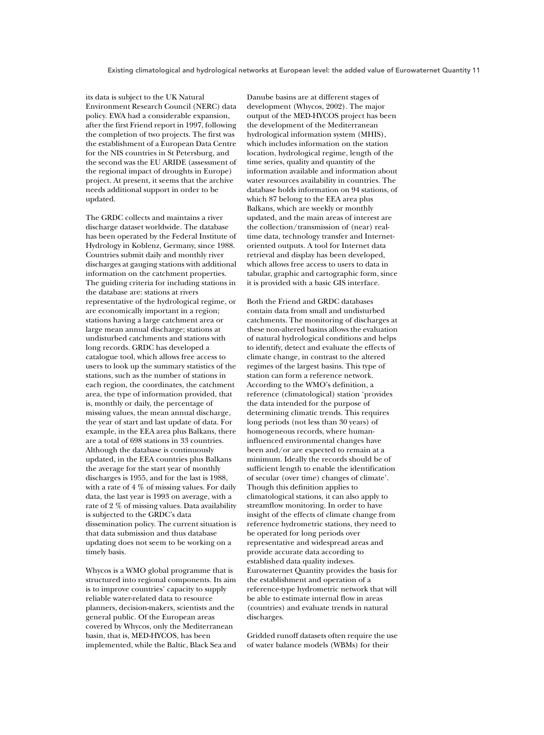its data is subject to the UK Natural Environment Research Council (NERC) data policy. EWA had a considerable expansion, after the first Friend report in 1997, following the completion of two projects. The first was the establishment of a European Data Centre for the NIS countries in St Petersburg, and the second was the EU ARIDE (assessment of the regional impact of droughts in Europe) project. At present, it seems that the archive needs additional support in order to be updated.

The GRDC collects and maintains a river discharge dataset worldwide. The database has been operated by the Federal Institute of Hydrology in Koblenz, Germany, since 1988. Countries submit daily and monthly river discharges at gauging stations with additional information on the catchment properties. The guiding criteria for including stations in the database are: stations at rivers representative of the hydrological regime, or are economically important in a region; stations having a large catchment area or large mean annual discharge; stations at undisturbed catchments and stations with long records. GRDC has developed a catalogue tool, which allows free access to users to look up the summary statistics of the stations, such as the number of stations in each region, the coordinates, the catchment area, the type of information provided, that is, monthly or daily, the percentage of missing values, the mean annual discharge, the year of start and last update of data. For example, in the EEA area plus Balkans, there are a total of 698 stations in 33 countries. Although the database is continuously updated, in the EEA countries plus Balkans the average for the start year of monthly discharges is 1955, and for the last is 1988, with a rate of 4 % of missing values. For daily data, the last year is 1993 on average, with a rate of 2 % of missing values. Data availability is subjected to the GRDC's data dissemination policy. The current situation is that data submission and thus database updating does not seem to be working on a timely basis.

Whycos is a WMO global programme that is structured into regional components. Its aim is to improve countries' capacity to supply reliable water-related data to resource planners, decision-makers, scientists and the general public. Of the European areas covered by Whycos, only the Mediterranean basin, that is, MED-HYCOS, has been implemented, while the Baltic, Black Sea and Danube basins are at different stages of development (Whycos, 2002). The major output of the MED-HYCOS project has been the development of the Mediterranean hydrological information system (MHIS), which includes information on the station location, hydrological regime, length of the time series, quality and quantity of the information available and information about water resources availability in countries. The database holds information on 94 stations, of which 87 belong to the EEA area plus Balkans, which are weekly or monthly updated, and the main areas of interest are the collection/transmission of (near) realtime data, technology transfer and Internetoriented outputs. A tool for Internet data retrieval and display has been developed, which allows free access to users to data in tabular, graphic and cartographic form, since it is provided with a basic GIS interface.

Both the Friend and GRDC databases contain data from small and undisturbed catchments. The monitoring of discharges at these non-altered basins allows the evaluation of natural hydrological conditions and helps to identify, detect and evaluate the effects of climate change, in contrast to the altered regimes of the largest basins. This type of station can form a reference network. According to the WMO's definition, a reference (climatological) station 'provides the data intended for the purpose of determining climatic trends. This requires long periods (not less than 30 years) of homogeneous records, where humaninfluenced environmental changes have been and/or are expected to remain at a minimum. Ideally the records should be of sufficient length to enable the identification of secular (over time) changes of climate'. Though this definition applies to climatological stations, it can also apply to streamflow monitoring. In order to have insight of the effects of climate change from reference hydrometric stations, they need to be operated for long periods over representative and widespread areas and provide accurate data according to established data quality indexes. Eurowaternet Quantity provides the basis for the establishment and operation of a reference-type hydrometric network that will be able to estimate internal flow in areas (countries) and evaluate trends in natural discharges.

Gridded runoff datasets often require the use of water balance models (WBMs) for their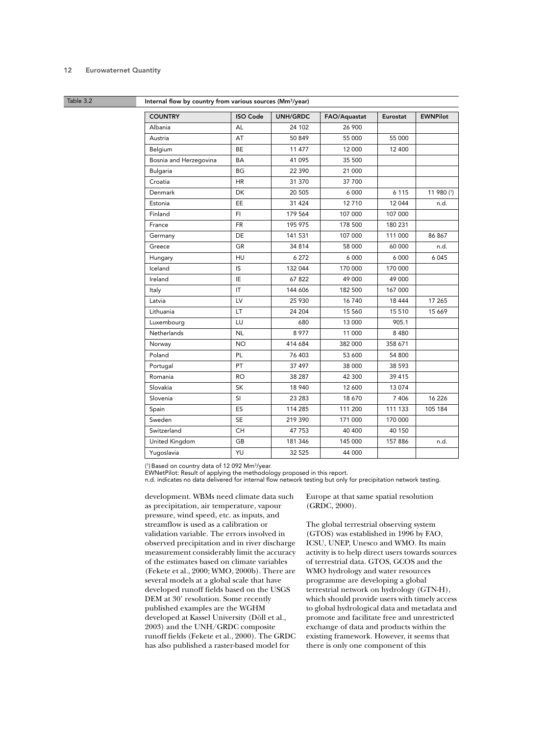Table 3.2 **Internal flow by country from various sources (Mm<sup>3</sup>/year)** 

| <b>COUNTRY</b>         | <b>ISO Code</b> | <b>UNH/GRDC</b> | FAO/Aquastat | Eurostat | <b>EWNPilot</b> |
|------------------------|-----------------|-----------------|--------------|----------|-----------------|
| Albania                | AL              | 24 102          | 26 900       |          |                 |
| Austria                | AT              | 50 849          | 55 000       | 55 000   |                 |
| Belgium                | <b>BE</b>       | 11 477          | 12 000       | 12 400   |                 |
| Bosnia and Herzegovina | BA              | 41 095          | 35 500       |          |                 |
| <b>Bulgaria</b>        | BG              | 22 390          | 21 000       |          |                 |
| Croatia                | <b>HR</b>       | 31 370          | 37 700       |          |                 |
| Denmark                | DK              | 20 505          | 6 0 0 0      | 6 1 1 5  | 11 980 (1)      |
| Estonia                | EE              | 31 4 24         | 12710        | 12 044   | n.d.            |
| Finland                | FI              | 179 564         | 107 000      | 107 000  |                 |
| France                 | <b>FR</b>       | 195 975         | 178 500      | 180 231  |                 |
| Germany                | DE              | 141 531         | 107 000      | 111 000  | 86 867          |
| Greece                 | GR              | 34 814          | 58 000       | 60 000   | n.d.            |
| Hungary                | HU              | 6 27 2          | 6 0 0 0      | 6 000    | 6045            |
| Iceland                | IS              | 132 044         | 170 000      | 170 000  |                 |
| Ireland                | IE              | 67822           | 49 000       | 49 000   |                 |
| Italy                  | IT              | 144 606         | 182 500      | 167 000  |                 |
| Latvia                 | LV              | 25 930          | 16740        | 18 444   | 17 265          |
| Lithuania              | LT              | 24 204          | 15 560       | 15 5 10  | 15 669          |
| Luxembourg             | LU              | 680             | 13 000       | 905.1    |                 |
| <b>Netherlands</b>     | <b>NL</b>       | 8 9 7 7         | 11 000       | 8480     |                 |
| Norway                 | <b>NO</b>       | 414 684         | 382 000      | 358 671  |                 |
| Poland                 | <b>PL</b>       | 76 403          | 53 600       | 54 800   |                 |
| Portugal               | PT              | 37 497          | 38 000       | 38 593   |                 |
| Romania                | <b>RO</b>       | 38 287          | 42 300       | 39 415   |                 |
| Slovakia               | SK              | 18 940          | 12 600       | 13 0 74  |                 |
| Slovenia               | SI              | 23 283          | 18 670       | 7 4 0 6  | 16 2 26         |
| Spain                  | ES              | 114 285         | 111 200      | 111 133  | 105 184         |
| Sweden                 | <b>SE</b>       | 219 390         | 171 000      | 170 000  |                 |
| Switzerland            | <b>CH</b>       | 47 753          | 40 400       | 40 150   |                 |
| United Kingdom         | GB              | 181 346         | 145 000      | 157 886  | n.d.            |
| Yugoslavia             | YU              | 32 5 25         | 44 000       |          |                 |

( 1) Based on country data of 12 092 Mm3/year.

EWNetPilot: Result of applying the methodology proposed in this report.

n.d. indicates no data delivered for internal flow network testing but only for precipitation network testing.

development. WBMs need climate data such as precipitation, air temperature, vapour pressure, wind speed, etc. as inputs, and streamflow is used as a calibration or validation variable. The errors involved in observed precipitation and in river discharge measurement considerably limit the accuracy of the estimates based on climate variables (Fekete et al., 2000; WMO, 2000b). There are several models at a global scale that have developed runoff fields based on the USGS DEM at 30' resolution. Some recently published examples are the WGHM developed at Kassel University (Döll et al., 2003) and the UNH/GRDC composite runoff fields (Fekete et al., 2000). The GRDC has also published a raster-based model for

Europe at that same spatial resolution (GRDC, 2000).

The global terrestrial observing system (GTOS) was established in 1996 by FAO, ICSU, UNEP, Unesco and WMO. Its main activity is to help direct users towards sources of terrestrial data. GTOS, GCOS and the WMO hydrology and water resources programme are developing a global terrestrial network on hydrology (GTN-H), which should provide users with timely access to global hydrological data and metadata and promote and facilitate free and unrestricted exchange of data and products within the existing framework. However, it seems that there is only one component of this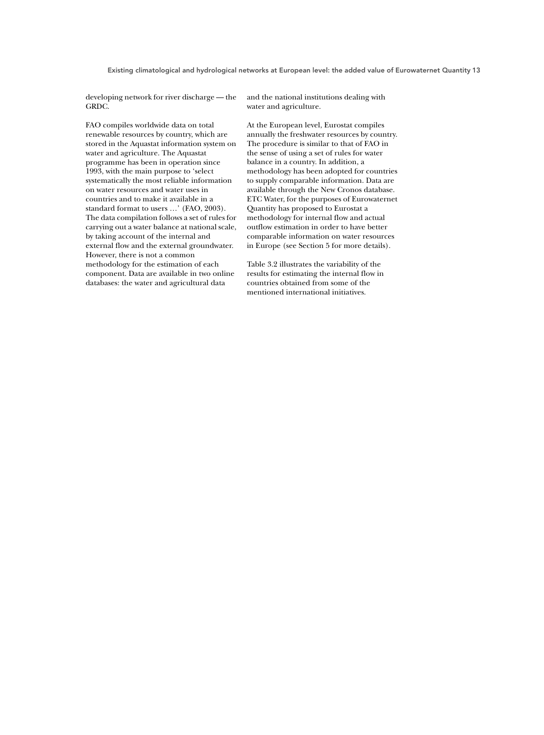developing network for river discharge — the GRDC.

FAO compiles worldwide data on total renewable resources by country, which are stored in the Aquastat information system on water and agriculture. The Aquastat programme has been in operation since 1993, with the main purpose to 'select systematically the most reliable information on water resources and water uses in countries and to make it available in a standard format to users …' (FAO, 2003). The data compilation follows a set of rules for carrying out a water balance at national scale, by taking account of the internal and external flow and the external groundwater. However, there is not a common methodology for the estimation of each component. Data are available in two online databases: the water and agricultural data

and the national institutions dealing with water and agriculture.

At the European level, Eurostat compiles annually the freshwater resources by country. The procedure is similar to that of FAO in the sense of using a set of rules for water balance in a country. In addition, a methodology has been adopted for countries to supply comparable information. Data are available through the New Cronos database. ETC Water, for the purposes of Eurowaternet Quantity has proposed to Eurostat a methodology for internal flow and actual outflow estimation in order to have better comparable information on water resources in Europe (see Section 5 for more details).

Table 3.2 illustrates the variability of the results for estimating the internal flow in countries obtained from some of the mentioned international initiatives.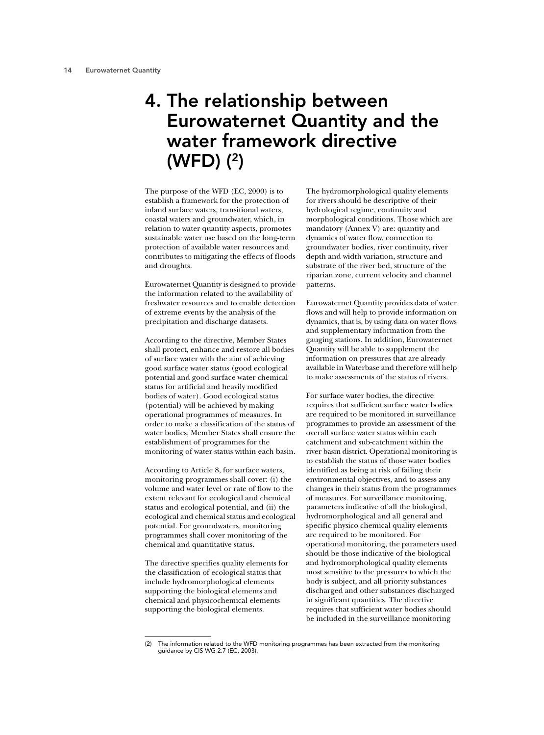## 4. The relationship between Eurowaternet Quantity and the water framework directive (WFD) (2)

The purpose of the WFD (EC, 2000) is to establish a framework for the protection of inland surface waters, transitional waters, coastal waters and groundwater, which, in relation to water quantity aspects, promotes sustainable water use based on the long-term protection of available water resources and contributes to mitigating the effects of floods and droughts.

Eurowaternet Quantity is designed to provide the information related to the availability of freshwater resources and to enable detection of extreme events by the analysis of the precipitation and discharge datasets.

According to the directive, Member States shall protect, enhance and restore all bodies of surface water with the aim of achieving good surface water status (good ecological potential and good surface water chemical status for artificial and heavily modified bodies of water). Good ecological status (potential) will be achieved by making operational programmes of measures. In order to make a classification of the status of water bodies, Member States shall ensure the establishment of programmes for the monitoring of water status within each basin.

According to Article 8, for surface waters, monitoring programmes shall cover: (i) the volume and water level or rate of flow to the extent relevant for ecological and chemical status and ecological potential, and (ii) the ecological and chemical status and ecological potential. For groundwaters, monitoring programmes shall cover monitoring of the chemical and quantitative status.

The directive specifies quality elements for the classification of ecological status that include hydromorphological elements supporting the biological elements and chemical and physicochemical elements supporting the biological elements.

The hydromorphological quality elements for rivers should be descriptive of their hydrological regime, continuity and morphological conditions. Those which are mandatory (Annex V) are: quantity and dynamics of water flow, connection to groundwater bodies, river continuity, river depth and width variation, structure and substrate of the river bed, structure of the riparian zone, current velocity and channel patterns.

Eurowaternet Quantity provides data of water flows and will help to provide information on dynamics, that is, by using data on water flows and supplementary information from the gauging stations. In addition, Eurowaternet Quantity will be able to supplement the information on pressures that are already available in Waterbase and therefore will help to make assessments of the status of rivers.

For surface water bodies, the directive requires that sufficient surface water bodies are required to be monitored in surveillance programmes to provide an assessment of the overall surface water status within each catchment and sub-catchment within the river basin district. Operational monitoring is to establish the status of those water bodies identified as being at risk of failing their environmental objectives, and to assess any changes in their status from the programmes of measures. For surveillance monitoring, parameters indicative of all the biological, hydromorphological and all general and specific physico-chemical quality elements are required to be monitored. For operational monitoring, the parameters used should be those indicative of the biological and hydromorphological quality elements most sensitive to the pressures to which the body is subject, and all priority substances discharged and other substances discharged in significant quantities. The directive requires that sufficient water bodies should be included in the surveillance monitoring

<sup>(2)</sup> The information related to the WFD monitoring programmes has been extracted from the monitoring guidance by CIS WG 2.7 (EC, 2003).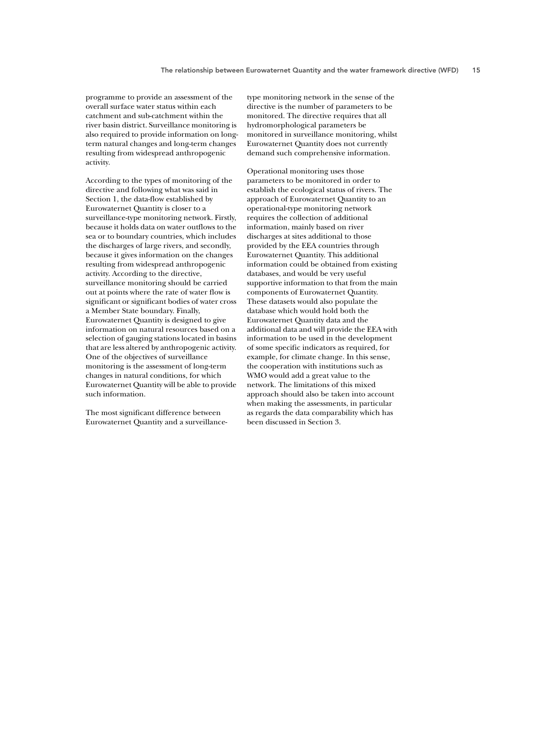programme to provide an assessment of the overall surface water status within each catchment and sub-catchment within the river basin district. Surveillance monitoring is also required to provide information on longterm natural changes and long-term changes resulting from widespread anthropogenic activity.

According to the types of monitoring of the directive and following what was said in Section 1, the data-flow established by Eurowaternet Quantity is closer to a surveillance-type monitoring network. Firstly, because it holds data on water outflows to the sea or to boundary countries, which includes the discharges of large rivers, and secondly, because it gives information on the changes resulting from widespread anthropogenic activity. According to the directive, surveillance monitoring should be carried out at points where the rate of water flow is significant or significant bodies of water cross a Member State boundary. Finally, Eurowaternet Quantity is designed to give information on natural resources based on a selection of gauging stations located in basins that are less altered by anthropogenic activity. One of the objectives of surveillance monitoring is the assessment of long-term changes in natural conditions, for which Eurowaternet Quantity will be able to provide such information.

The most significant difference between Eurowaternet Quantity and a surveillance-

type monitoring network in the sense of the directive is the number of parameters to be monitored. The directive requires that all hydromorphological parameters be monitored in surveillance monitoring, whilst Eurowaternet Quantity does not currently demand such comprehensive information.

Operational monitoring uses those parameters to be monitored in order to establish the ecological status of rivers. The approach of Eurowaternet Quantity to an operational-type monitoring network requires the collection of additional information, mainly based on river discharges at sites additional to those provided by the EEA countries through Eurowaternet Quantity. This additional information could be obtained from existing databases, and would be very useful supportive information to that from the main components of Eurowaternet Quantity. These datasets would also populate the database which would hold both the Eurowaternet Quantity data and the additional data and will provide the EEA with information to be used in the development of some specific indicators as required, for example, for climate change. In this sense, the cooperation with institutions such as WMO would add a great value to the network. The limitations of this mixed approach should also be taken into account when making the assessments, in particular as regards the data comparability which has been discussed in Section 3.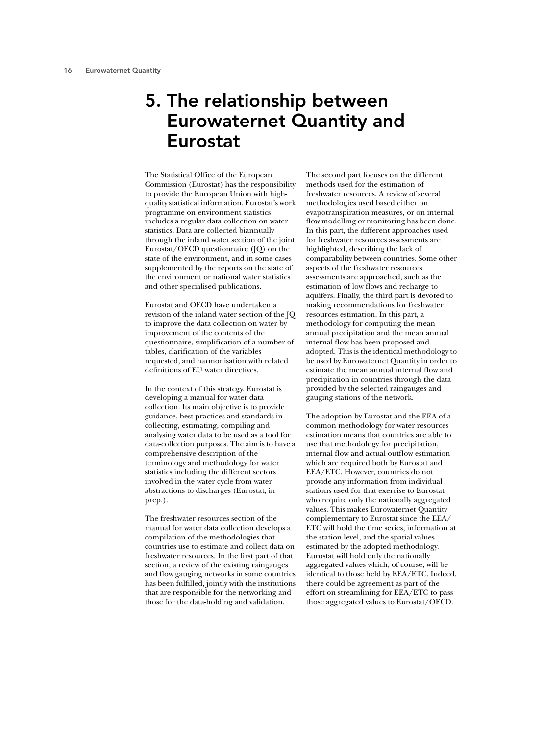## 5. The relationship between Eurowaternet Quantity and Eurostat

The Statistical Office of the European Commission (Eurostat) has the responsibility to provide the European Union with highquality statistical information. Eurostat's work programme on environment statistics includes a regular data collection on water statistics. Data are collected biannually through the inland water section of the joint Eurostat/OECD questionnaire (JQ) on the state of the environment, and in some cases supplemented by the reports on the state of the environment or national water statistics and other specialised publications.

Eurostat and OECD have undertaken a revision of the inland water section of the JQ to improve the data collection on water by improvement of the contents of the questionnaire, simplification of a number of tables, clarification of the variables requested, and harmonisation with related definitions of EU water directives.

In the context of this strategy, Eurostat is developing a manual for water data collection. Its main objective is to provide guidance, best practices and standards in collecting, estimating, compiling and analysing water data to be used as a tool for data-collection purposes. The aim is to have a comprehensive description of the terminology and methodology for water statistics including the different sectors involved in the water cycle from water abstractions to discharges (Eurostat, in prep.).

The freshwater resources section of the manual for water data collection develops a compilation of the methodologies that countries use to estimate and collect data on freshwater resources. In the first part of that section, a review of the existing raingauges and flow gauging networks in some countries has been fulfilled, jointly with the institutions that are responsible for the networking and those for the data-holding and validation.

The second part focuses on the different methods used for the estimation of freshwater resources. A review of several methodologies used based either on evapotranspiration measures, or on internal flow modelling or monitoring has been done. In this part, the different approaches used for freshwater resources assessments are highlighted, describing the lack of comparability between countries. Some other aspects of the freshwater resources assessments are approached, such as the estimation of low flows and recharge to aquifers. Finally, the third part is devoted to making recommendations for freshwater resources estimation. In this part, a methodology for computing the mean annual precipitation and the mean annual internal flow has been proposed and adopted. This is the identical methodology to be used by Eurowaternet Quantity in order to estimate the mean annual internal flow and precipitation in countries through the data provided by the selected raingauges and gauging stations of the network.

The adoption by Eurostat and the EEA of a common methodology for water resources estimation means that countries are able to use that methodology for precipitation, internal flow and actual outflow estimation which are required both by Eurostat and EEA/ETC. However, countries do not provide any information from individual stations used for that exercise to Eurostat who require only the nationally aggregated values. This makes Eurowaternet Quantity complementary to Eurostat since the EEA/ ETC will hold the time series, information at the station level, and the spatial values estimated by the adopted methodology. Eurostat will hold only the nationally aggregated values which, of course, will be identical to those held by EEA/ETC. Indeed, there could be agreement as part of the effort on streamlining for EEA/ETC to pass those aggregated values to Eurostat/OECD.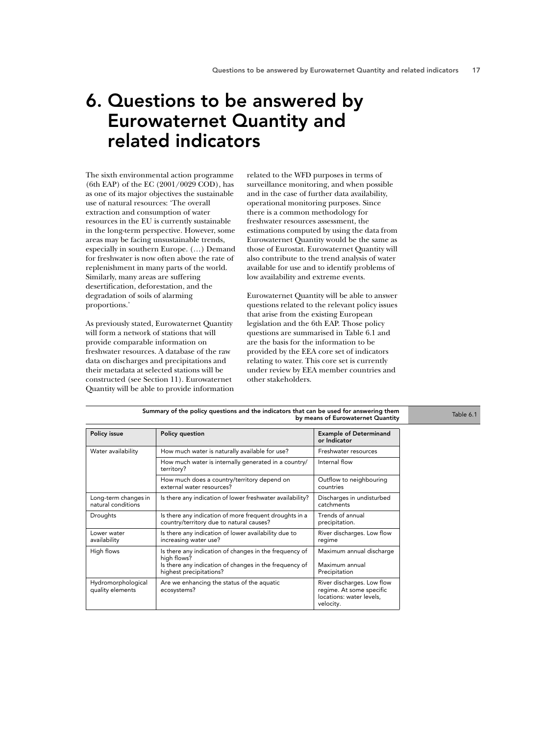## 6. Questions to be answered by Eurowaternet Quantity and related indicators

The sixth environmental action programme (6th EAP) of the EC (2001/0029 COD), has as one of its major objectives the sustainable use of natural resources: 'The overall extraction and consumption of water resources in the EU is currently sustainable in the long-term perspective. However, some areas may be facing unsustainable trends, especially in southern Europe. (…) Demand for freshwater is now often above the rate of replenishment in many parts of the world. Similarly, many areas are suffering desertification, deforestation, and the degradation of soils of alarming proportions.'

As previously stated, Eurowaternet Quantity will form a network of stations that will provide comparable information on freshwater resources. A database of the raw data on discharges and precipitations and their metadata at selected stations will be constructed (see Section 11). Eurowaternet Quantity will be able to provide information related to the WFD purposes in terms of surveillance monitoring, and when possible and in the case of further data availability, operational monitoring purposes. Since there is a common methodology for freshwater resources assessment, the estimations computed by using the data from Eurowaternet Quantity would be the same as those of Eurostat. Eurowaternet Quantity will also contribute to the trend analysis of water available for use and to identify problems of low availability and extreme events.

Eurowaternet Quantity will be able to answer questions related to the relevant policy issues that arise from the existing European legislation and the 6th EAP. Those policy questions are summarised in Table 6.1 and are the basis for the information to be provided by the EEA core set of indicators relating to water. This core set is currently under review by EEA member countries and other stakeholders.

| Summary of the policy questions and the indicators that can be used for answering them | Table 6.1                                                                                                                                                  |                                                                                                 |  |
|----------------------------------------------------------------------------------------|------------------------------------------------------------------------------------------------------------------------------------------------------------|-------------------------------------------------------------------------------------------------|--|
| Policy issue                                                                           | <b>Policy question</b>                                                                                                                                     | <b>Example of Determinand</b><br>or Indicator                                                   |  |
| Water availability                                                                     | How much water is naturally available for use?                                                                                                             | Freshwater resources                                                                            |  |
|                                                                                        | How much water is internally generated in a country/<br>territory?                                                                                         | Internal flow                                                                                   |  |
|                                                                                        | How much does a country/territory depend on<br>external water resources?                                                                                   | Outflow to neighbouring<br>countries                                                            |  |
| Long-term changes in<br>natural conditions                                             | Is there any indication of lower freshwater availability?                                                                                                  | Discharges in undisturbed<br>catchments                                                         |  |
| Droughts                                                                               | Is there any indication of more frequent droughts in a<br>country/territory due to natural causes?                                                         | Trends of annual<br>precipitation.                                                              |  |
| Lower water<br>availability                                                            | Is there any indication of lower availability due to<br>increasing water use?                                                                              | River discharges. Low flow<br>regime                                                            |  |
| High flows                                                                             | Is there any indication of changes in the frequency of<br>high flows?<br>Is there any indication of changes in the frequency of<br>highest precipitations? | Maximum annual discharge<br>Maximum annual<br>Precipitation                                     |  |
| Hydromorphological<br>quality elements                                                 | Are we enhancing the status of the aquatic<br>ecosystems?                                                                                                  | River discharges. Low flow<br>regime. At some specific<br>locations: water levels,<br>velocity. |  |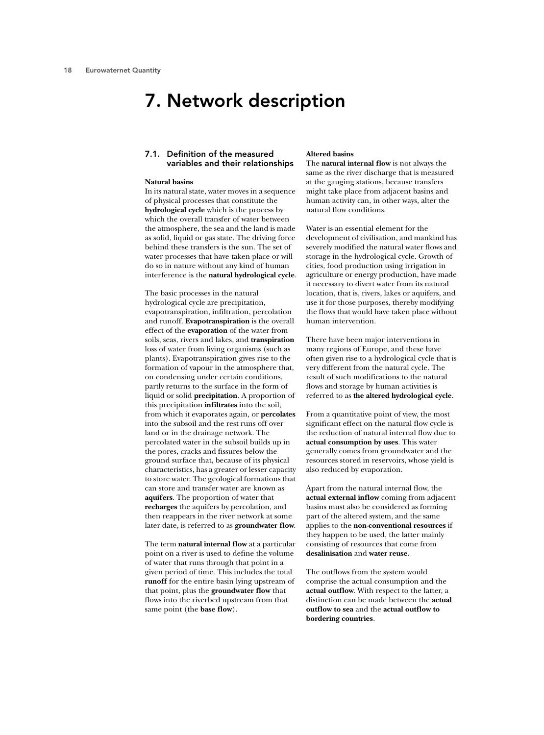## 7. Network description

## 7.1. Definition of the measured variables and their relationships

#### **Natural basins**

In its natural state, water moves in a sequence of physical processes that constitute the **hydrological cycle** which is the process by which the overall transfer of water between the atmosphere, the sea and the land is made as solid, liquid or gas state. The driving force behind these transfers is the sun. The set of water processes that have taken place or will do so in nature without any kind of human interference is the **natural hydrological cycle**.

The basic processes in the natural hydrological cycle are precipitation, evapotranspiration, infiltration, percolation and runoff. **Evapotranspiration** is the overall effect of the **evaporation** of the water from soils, seas, rivers and lakes, and **transpiration** loss of water from living organisms (such as plants). Evapotranspiration gives rise to the formation of vapour in the atmosphere that, on condensing under certain conditions, partly returns to the surface in the form of liquid or solid **precipitation**. A proportion of this precipitation **infiltrates** into the soil, from which it evaporates again, or **percolates** into the subsoil and the rest runs off over land or in the drainage network. The percolated water in the subsoil builds up in the pores, cracks and fissures below the ground surface that, because of its physical characteristics, has a greater or lesser capacity to store water. The geological formations that can store and transfer water are known as **aquifers**. The proportion of water that **recharges** the aquifers by percolation, and then reappears in the river network at some later date, is referred to as **groundwater flow**.

The term **natural internal flow** at a particular point on a river is used to define the volume of water that runs through that point in a given period of time. This includes the total **runoff** for the entire basin lying upstream of that point, plus the **groundwater flow** that flows into the riverbed upstream from that same point (the **base flow**).

### **Altered basins**

The **natural internal flow** is not always the same as the river discharge that is measured at the gauging stations, because transfers might take place from adjacent basins and human activity can, in other ways, alter the natural flow conditions.

Water is an essential element for the development of civilisation, and mankind has severely modified the natural water flows and storage in the hydrological cycle. Growth of cities, food production using irrigation in agriculture or energy production, have made it necessary to divert water from its natural location, that is, rivers, lakes or aquifers, and use it for those purposes, thereby modifying the flows that would have taken place without human intervention.

There have been major interventions in many regions of Europe, and these have often given rise to a hydrological cycle that is very different from the natural cycle. The result of such modifications to the natural flows and storage by human activities is referred to as **the altered hydrological cycle**.

From a quantitative point of view, the most significant effect on the natural flow cycle is the reduction of natural internal flow due to **actual consumption by uses**. This water generally comes from groundwater and the resources stored in reservoirs, whose yield is also reduced by evaporation.

Apart from the natural internal flow, the **actual external inflow** coming from adjacent basins must also be considered as forming part of the altered system, and the same applies to the **non-conventional resources** if they happen to be used, the latter mainly consisting of resources that come from **desalinisation** and **water reuse**.

The outflows from the system would comprise the actual consumption and the **actual outflow**. With respect to the latter, a distinction can be made between the **actual outflow to sea** and the **actual outflow to bordering countries***.*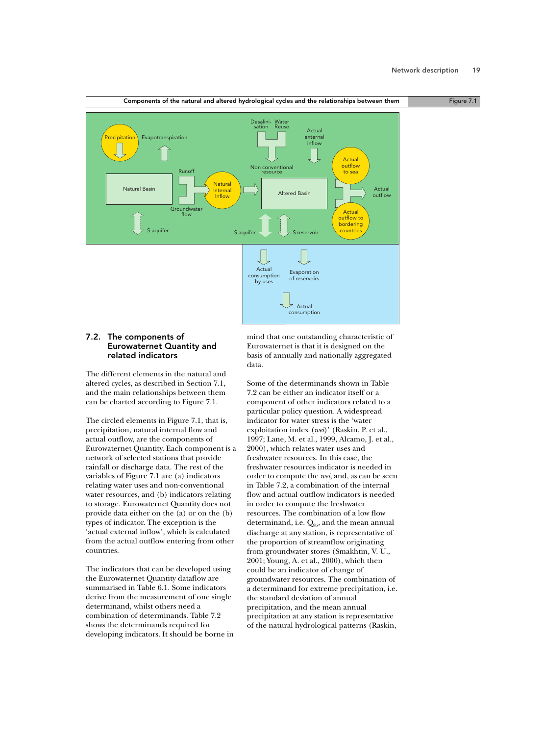

## 7.2. The components of Eurowaternet Quantity and related indicators

The different elements in the natural and altered cycles, as described in Section 7.1, and the main relationships between them can be charted according to Figure 7.1.

The circled elements in Figure 7.1, that is, precipitation, natural internal flow and actual outflow, are the components of Eurowaternet Quantity. Each component is a network of selected stations that provide rainfall or discharge data. The rest of the variables of Figure 7.1 are (a) indicators relating water uses and non-conventional water resources, and (b) indicators relating to storage. Eurowaternet Quantity does not provide data either on the (a) or on the (b) types of indicator. The exception is the 'actual external inflow', which is calculated from the actual outflow entering from other countries.

The indicators that can be developed using the Eurowaternet Quantity dataflow are summarised in Table 6.1. Some indicators derive from the measurement of one single determinand, whilst others need a combination of determinands. Table 7.2 shows the determinands required for developing indicators. It should be borne in mind that one outstanding characteristic of Eurowaternet is that it is designed on the basis of annually and nationally aggregated data.

Some of the determinands shown in Table 7.2 can be either an indicator itself or a component of other indicators related to a particular policy question. A widespread indicator for water stress is the 'water exploitation index (*wei*)' (Raskin, P. et al., 1997; Lane, M. et al., 1999, Alcamo, J. et al., 2000), which relates water uses and freshwater resources. In this case, the freshwater resources indicator is needed in order to compute the *wei*, and, as can be seen in Table 7.2, a combination of the internal flow and actual outflow indicators is needed in order to compute the freshwater resources. The combination of a low flow determinand, i.e.  $Q_{95}$ , and the mean annual discharge at any station, is representative of the proportion of streamflow originating from groundwater stores (Smakhtin, V. U., 2001; Young, A. et al., 2000), which then could be an indicator of change of groundwater resources. The combination of a determinand for extreme precipitation, i.e. the standard deviation of annual precipitation, and the mean annual precipitation at any station is representative of the natural hydrological patterns (Raskin,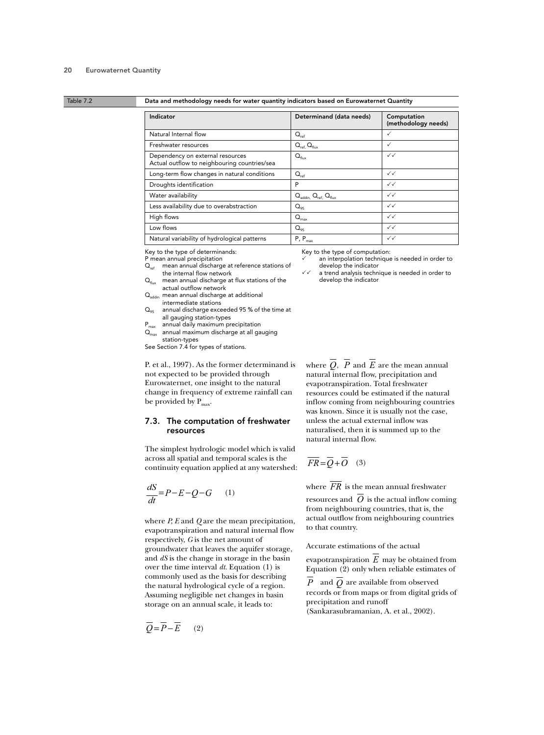### Table 7.2 Data and methodology needs for water quantity indicators based on Eurowaternet Quantity

| Indicator                                                                        | Determinand (data needs)  | Computation<br>(methodology needs) |
|----------------------------------------------------------------------------------|---------------------------|------------------------------------|
| Natural Internal flow                                                            | $Q_{\rm ref}$             | ✓                                  |
| Freshwater resources                                                             | $Q_{ref.} Q_{flux}$       | ✓                                  |
| Dependency on external resources<br>Actual outflow to neighbouring countries/sea | $Q_{\text{flux}}$         | $\checkmark$                       |
| Long-term flow changes in natural conditions                                     | $Q_{ref}$                 | $\checkmark$                       |
| Droughts identification                                                          | P                         | $\checkmark$                       |
| Water availability                                                               | $Q_{\text{addin}, \cdot}$ | $\checkmark$                       |
| Less availability due to overabstraction                                         | $Q_{95}$                  | $\checkmark$                       |
| High flows                                                                       | $Q_{\text{max}}$          | $\checkmark$                       |
| Low flows                                                                        | $Q_{95}$                  | $\checkmark$                       |
| Natural variability of hydrological patterns                                     | $P, P_{max}$              | $\checkmark$                       |

Key to the type of determinands:

- P mean annual precipitation<br>Q<sub>ref</sub> mean annual discharg mean annual discharge at reference stations of the internal flow network
- $Q<sub>flux</sub>$  mean annual discharge at flux stations of the actual outflow network
- Q<sub>addin</sub> mean annual discharge at additional intermediate stations
- $Q_{95}$  annual discharge exceeded 95 % of the time at all gauging station-types
- $P_{\text{max}}$  annual daily maximum precipitation<br> $Q_{\text{max}}$  annual maximum discharge at all ga
- annual maximum discharge at all gauging station-types

See Section 7.4 for types of stations.

P. et al., 1997). As the former determinand is not expected to be provided through Eurowaternet, one insight to the natural change in frequency of extreme rainfall can be provided by  $P_{\text{max}}$ .

### 7.3. The computation of freshwater resources

The simplest hydrologic model which is valid across all spatial and temporal scales is the continuity equation applied at any watershed:

$$
\frac{dS}{dt} = P - E - Q - G \qquad (1)
$$

where *P*, *E* and *Q* are the mean precipitation, evapotranspiration and natural internal flow respectively, *G* is the net amount of groundwater that leaves the aquifer storage, and *dS* is the change in storage in the basin over the time interval *dt*. Equation (1) is commonly used as the basis for describing the natural hydrological cycle of a region. Assuming negligible net changes in basin storage on an annual scale, it leads to:

$$
\overline{Q} = \overline{P} - \overline{E} \qquad (2)
$$

Key to the type of computation:

- an interpolation technique is needed in order to develop the indicator
- a trend analysis technique is needed in order to develop the indicator

where  $Q$ ,  $P$  and  $E$  are the mean annual natural internal flow, precipitation and evapotranspiration. Total freshwater resources could be estimated if the natural inflow coming from neighbouring countries was known. Since it is usually not the case, unless the actual external inflow was naturalised, then it is summed up to the natural internal flow.

$$
\overline{FR} = \overline{Q} + \overline{O} \quad (3)
$$

where  $FR$  is the mean annual freshwater resources and  $O$  is the actual inflow coming from neighbouring countries, that is, the actual outflow from neighbouring countries to that country.

Accurate estimations of the actual

evapotranspiration  $E$  may be obtained from Equation (2) only when reliable estimates of

 $P$  and  $Q$  are available from observed records or from maps or from digital grids of precipitation and runoff (Sankarasubramanian, A. et al., 2002).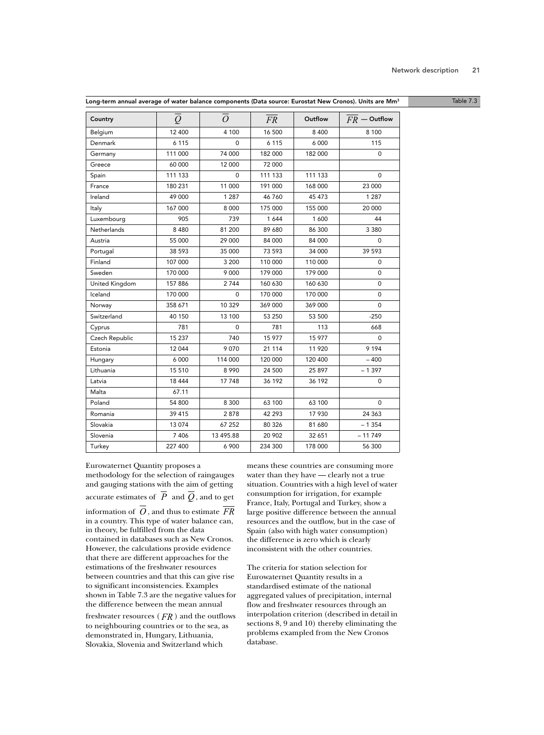| Country        | $\overline{\varrho}$ | $\overline{O}$ | FR      | Outflow | $FR$ – Outflow |
|----------------|----------------------|----------------|---------|---------|----------------|
| Belgium        | 12 400               | 4 100          | 16 500  | 8 4 0 0 | 8 1 0 0        |
| Denmark        | 6 1 1 5              | $\Omega$       | 6 1 1 5 | 6 0 0 0 | 115            |
| Germany        | 111 000              | 74 000         | 182 000 | 182 000 | 0              |
| Greece         | 60 000               | 12 000         | 72 000  |         |                |
| Spain          | 111 133              | 0              | 111 133 | 111 133 | 0              |
| France         | 180 231              | 11 000         | 191 000 | 168 000 | 23 000         |
| Ireland        | 49 000               | 1 2 8 7        | 46760   | 45 473  | 1 2 8 7        |
| Italy          | 167 000              | 8 0 0 0        | 175 000 | 155 000 | 20 000         |
| Luxembourg     | 905                  | 739            | 1644    | 1 600   | 44             |
| Netherlands    | 8 4 8 0              | 81 200         | 89 680  | 86 300  | 3 3 8 0        |
| Austria        | 55 000               | 29 000         | 84 000  | 84 000  | 0              |
| Portugal       | 38 593               | 35 000         | 73 593  | 34 000  | 39 593         |
| Finland        | 107 000              | 3 200          | 110 000 | 110 000 | 0              |
| Sweden         | 170 000              | 9 0 0 0        | 179 000 | 179 000 | 0              |
| United Kingdom | 157 886              | 2744           | 160 630 | 160 630 | 0              |
| Iceland        | 170 000              | 0              | 170 000 | 170 000 | 0              |
| Norway         | 358 671              | 10 329         | 369 000 | 369 000 | $\Omega$       |
| Switzerland    | 40 150               | 13 100         | 53 250  | 53 500  | $-250$         |
| Cyprus         | 781                  | 0              | 781     | 113     | 668            |
| Czech Republic | 15 237               | 740            | 15 977  | 15 977  | $\Omega$       |
| Estonia        | 12 044               | 9 0 7 0        | 21 114  | 11 9 20 | 9 1 9 4        |
| Hungary        | 6 0 0 0              | 114 000        | 120 000 | 120 400 | $-400$         |
| Lithuania      | 15 510               | 8 9 9 0        | 24 500  | 25 897  | $-1397$        |
| Latvia         | 18 4 44              | 17 748         | 36 192  | 36 192  | 0              |
| Malta          | 67.11                |                |         |         |                |
| Poland         | 54 800               | 8 3 0 0        | 63 100  | 63 100  | 0              |
| Romania        | 39 415               | 2878           | 42 293  | 17 930  | 24 3 6 3       |
| Slovakia       | 13 0 74              | 67 252         | 80 326  | 81 680  | $-1354$        |
| Slovenia       | 7 4 0 6              | 13 495.88      | 20 902  | 32 651  | $-11749$       |
| Turkey         | 227 400              | 6 900          | 234 300 | 178 000 | 56 300         |

Eurowaternet Quantity proposes a methodology for the selection of raingauges and gauging stations with the aim of getting accurate estimates of  $P$  and  $Q$ , and to get information of  $\hat{O}$ , and thus to estimate  $FR$ in a country. This type of water balance can, in theory, be fulfilled from the data contained in databases such as New Cronos. However, the calculations provide evidence that there are different approaches for the estimations of the freshwater resources between countries and that this can give rise to significant inconsistencies. Examples shown in Table 7.3 are the negative values for the difference between the mean annual

freshwater resources ( $FR$ ) and the outflows to neighbouring countries or to the sea, as demonstrated in, Hungary, Lithuania, Slovakia, Slovenia and Switzerland which

means these countries are consuming more water than they have — clearly not a true situation. Countries with a high level of water consumption for irrigation, for example France, Italy, Portugal and Turkey, show a large positive difference between the annual resources and the outflow, but in the case of Spain (also with high water consumption) the difference is zero which is clearly inconsistent with the other countries.

The criteria for station selection for Eurowaternet Quantity results in a standardised estimate of the national aggregated values of precipitation, internal flow and freshwater resources through an interpolation criterion (described in detail in sections 8, 9 and 10) thereby eliminating the problems exampled from the New Cronos database.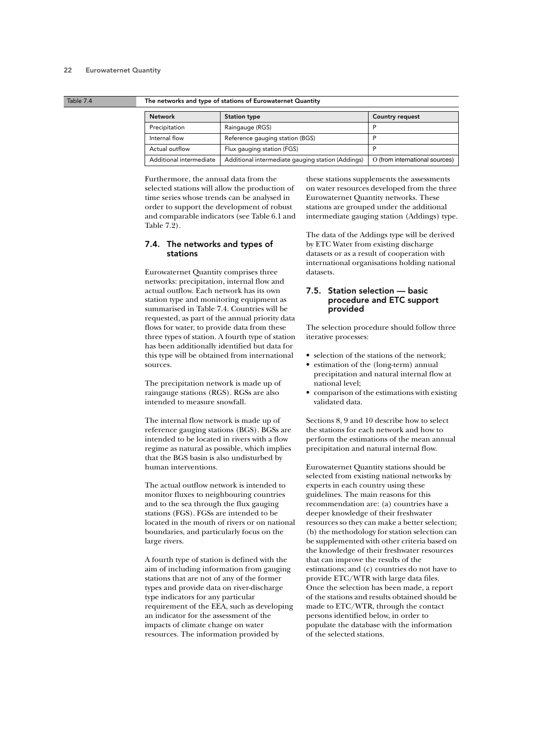#### Table 7.4 The networks and type of stations of Eurowaternet Quantity

| <b>Network</b>          | <b>Station type</b>                               | <b>Country request</b>         |
|-------------------------|---------------------------------------------------|--------------------------------|
| Precipitation           | Raingauge (RGS)                                   | D                              |
| Internal flow           | Reference gauging station (BGS)                   |                                |
| Actual outflow          | Flux gauging station (FGS)                        |                                |
| Additional intermediate | Additional intermediate gauging station (Addings) | O (from international sources) |

Furthermore, the annual data from the selected stations will allow the production of time series whose trends can be analysed in order to support the development of robust and comparable indicators (see Table 6.1 and Table 7.2).

## 7.4. The networks and types of stations

Eurowaternet Quantity comprises three networks: precipitation, internal flow and actual outflow. Each network has its own station type and monitoring equipment as summarised in Table 7.4. Countries will be requested, as part of the annual priority data flows for water, to provide data from these three types of station. A fourth type of station has been additionally identified but data for this type will be obtained from international sources.

The precipitation network is made up of raingauge stations (RGS). RGSs are also intended to measure snowfall.

The internal flow network is made up of reference gauging stations (BGS). BGSs are intended to be located in rivers with a flow regime as natural as possible, which implies that the BGS basin is also undisturbed by human interventions.

The actual outflow network is intended to monitor fluxes to neighbouring countries and to the sea through the flux gauging stations (FGS). FGSs are intended to be located in the mouth of rivers or on national boundaries, and particularly focus on the large rivers.

A fourth type of station is defined with the aim of including information from gauging stations that are not of any of the former types and provide data on river-discharge type indicators for any particular requirement of the EEA, such as developing an indicator for the assessment of the impacts of climate change on water resources. The information provided by

these stations supplements the assessments on water resources developed from the three Eurowaternet Quantity networks. These stations are grouped under the additional intermediate gauging station (Addings) type.

The data of the Addings type will be derived by ETC Water from existing discharge datasets or as a result of cooperation with international organisations holding national datasets.

## 7.5. Station selection — basic procedure and ETC support provided

The selection procedure should follow three iterative processes:

- selection of the stations of the network;
- estimation of the (long-term) annual precipitation and natural internal flow at national level;
- comparison of the estimations with existing validated data.

Sections 8, 9 and 10 describe how to select the stations for each network and how to perform the estimations of the mean annual precipitation and natural internal flow.

Eurowaternet Quantity stations should be selected from existing national networks by experts in each country using these guidelines. The main reasons for this recommendation are: (a) countries have a deeper knowledge of their freshwater resources so they can make a better selection; (b) the methodology for station selection can be supplemented with other criteria based on the knowledge of their freshwater resources that can improve the results of the estimations; and (c) countries do not have to provide ETC/WTR with large data files. Once the selection has been made, a report of the stations and results obtained should be made to ETC/WTR, through the contact persons identified below, in order to populate the database with the information of the selected stations.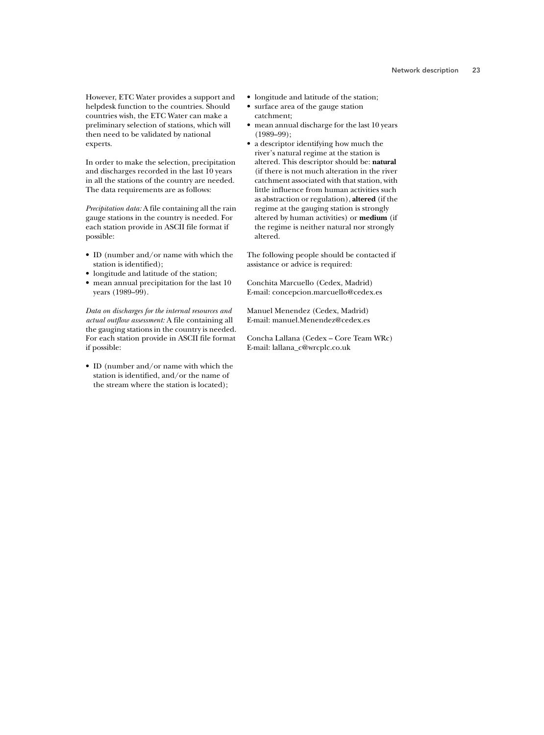However, ETC Water provides a support and helpdesk function to the countries. Should countries wish, the ETC Water can make a preliminary selection of stations, which will then need to be validated by national experts.

In order to make the selection, precipitation and discharges recorded in the last 10 years in all the stations of the country are needed. The data requirements are as follows:

*Precipitation data:* A file containing all the rain gauge stations in the country is needed. For each station provide in ASCII file format if possible:

- ID (number and/or name with which the station is identified);
- longitude and latitude of the station;
- mean annual precipitation for the last 10 years (1989–99).

*Data on discharges for the internal resources and actual outflow assessment:* A file containing all the gauging stations in the country is needed. For each station provide in ASCII file format if possible:

• ID (number and/or name with which the station is identified, and/or the name of the stream where the station is located);

- longitude and latitude of the station;
- surface area of the gauge station catchment;
- mean annual discharge for the last 10 years (1989–99);
- a descriptor identifying how much the river's natural regime at the station is altered. This descriptor should be: **natural** (if there is not much alteration in the river catchment associated with that station, with little influence from human activities such as abstraction or regulation), **altered** (if the regime at the gauging station is strongly altered by human activities) or **medium** (if the regime is neither natural nor strongly altered.

The following people should be contacted if assistance or advice is required:

Conchita Marcuello (Cedex, Madrid) E-mail: concepcion.marcuello@cedex.es

Manuel Menendez (Cedex, Madrid) E-mail: manuel.Menendez@cedex.es

Concha Lallana (Cedex – Core Team WRc) E-mail: lallana\_c@wrcplc.co.uk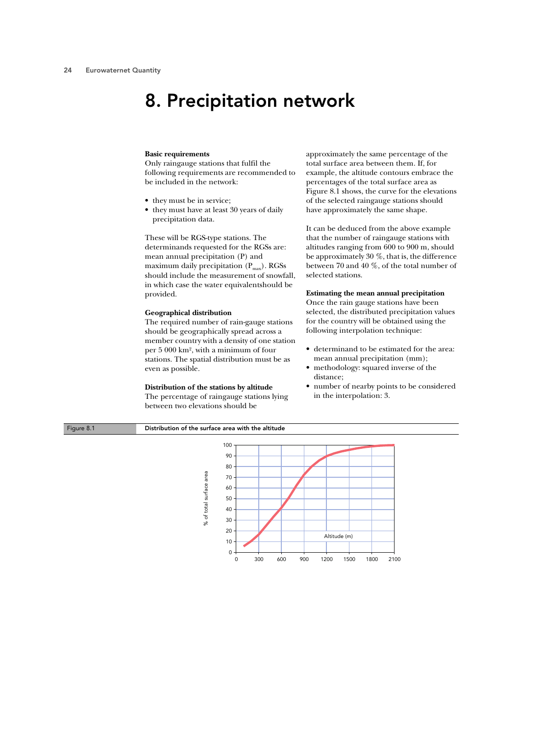## 8. Precipitation network

#### **Basic requirements**

Only raingauge stations that fulfil the following requirements are recommended to be included in the network:

- they must be in service;
- they must have at least 30 years of daily precipitation data.

These will be RGS-type stations. The determinands requested for the RGSs are: mean annual precipitation (P) and maximum daily precipitation  $(P_{\text{max}})$ . RGSs should include the measurement of snowfall, in which case the water equivalentshould be provided.

### **Geographical distribution**

The required number of rain-gauge stations should be geographically spread across a member country with a density of one station per 5 000 km2, with a minimum of four stations. The spatial distribution must be as even as possible.

### **Distribution of the stations by altitude**

The percentage of raingauge stations lying between two elevations should be

approximately the same percentage of the total surface area between them. If, for example, the altitude contours embrace the percentages of the total surface area as Figure 8.1 shows, the curve for the elevations of the selected raingauge stations should have approximately the same shape.

It can be deduced from the above example that the number of raingauge stations with altitudes ranging from 600 to 900 m, should be approximately 30 %, that is, the difference between 70 and 40 %, of the total number of selected stations.

### **Estimating the mean annual precipitation**

Once the rain gauge stations have been selected, the distributed precipitation values for the country will be obtained using the following interpolation technique:

- determinand to be estimated for the area: mean annual precipitation (mm);
- methodology: squared inverse of the distance;
- number of nearby points to be considered in the interpolation: 3.

### Figure 8.1 Distribution of the surface area with the altitude

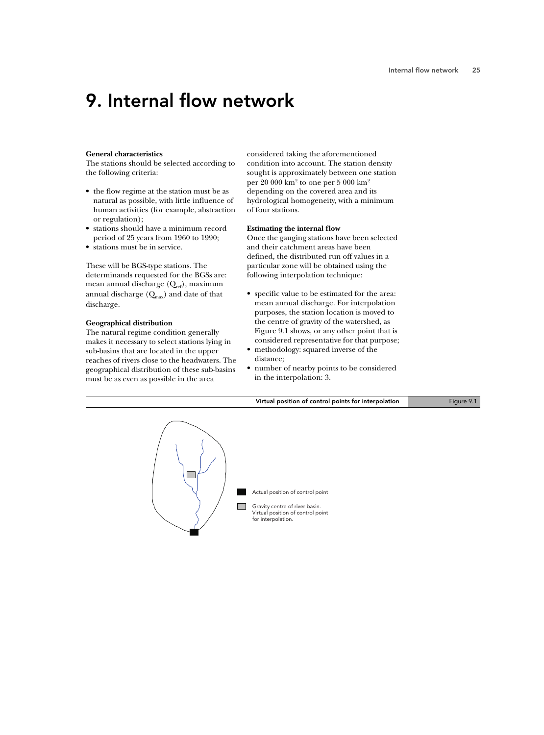## 9. Internal flow network

### **General characteristics**

The stations should be selected according to the following criteria:

- the flow regime at the station must be as natural as possible, with little influence of human activities (for example, abstraction or regulation);
- stations should have a minimum record period of 25 years from 1960 to 1990;
- stations must be in service.

These will be BGS-type stations. The determinands requested for the BGSs are: mean annual discharge  $(Q_{ref})$ , maximum annual discharge  $(Q<sub>max</sub>)$  and date of that discharge.

### **Geographical distribution**

The natural regime condition generally makes it necessary to select stations lying in sub-basins that are located in the upper reaches of rivers close to the headwaters. The geographical distribution of these sub-basins must be as even as possible in the area

considered taking the aforementioned condition into account. The station density sought is approximately between one station per 20 000 km2 to one per 5 000 km2 depending on the covered area and its hydrological homogeneity, with a minimum of four stations.

### **Estimating the internal flow**

Once the gauging stations have been selected and their catchment areas have been defined, the distributed run-off values in a particular zone will be obtained using the following interpolation technique:

- specific value to be estimated for the area: mean annual discharge. For interpolation purposes, the station location is moved to the centre of gravity of the watershed, as Figure 9.1 shows, or any other point that is considered representative for that purpose;
- methodology: squared inverse of the distance;
- number of nearby points to be considered in the interpolation: 3.

Virtual position of control points for interpolation Figure 9.1

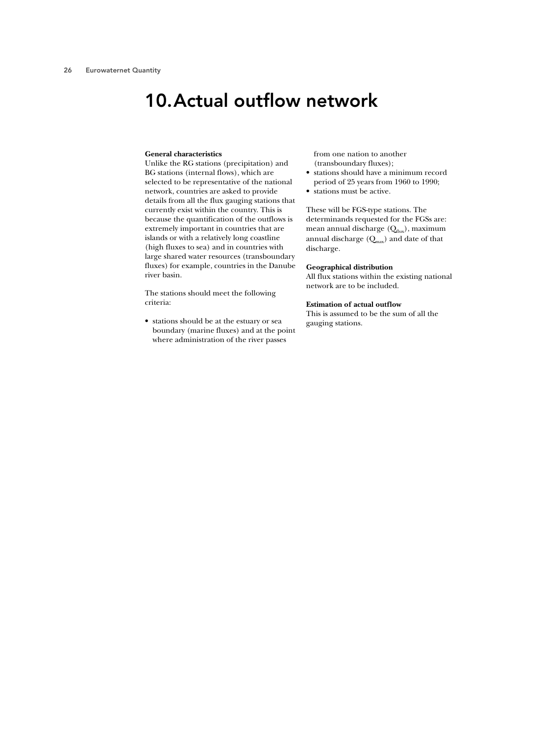## 10.Actual outflow network

#### **General characteristics**

Unlike the RG stations (precipitation) and BG stations (internal flows), which are selected to be representative of the national network, countries are asked to provide details from all the flux gauging stations that currently exist within the country. This is because the quantification of the outflows is extremely important in countries that are islands or with a relatively long coastline (high fluxes to sea) and in countries with large shared water resources (transboundary fluxes) for example, countries in the Danube river basin.

The stations should meet the following criteria:

• stations should be at the estuary or sea boundary (marine fluxes) and at the point where administration of the river passes

from one nation to another (transboundary fluxes);

- stations should have a minimum record period of 25 years from 1960 to 1990;
- stations must be active.

These will be FGS-type stations. The determinands requested for the FGSs are: mean annual discharge  $(Q<sub>flux</sub>)$ , maximum annual discharge  $(Q_{\text{max}})$  and date of that discharge.

### **Geographical distribution**

All flux stations within the existing national network are to be included.

### **Estimation of actual outflow**

This is assumed to be the sum of all the gauging stations.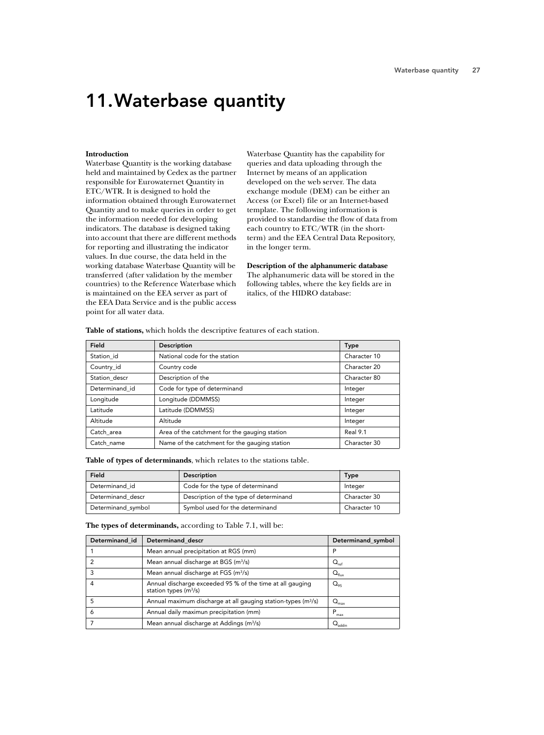# 11.Waterbase quantity

### **Introduction**

Waterbase Quantity is the working database held and maintained by Cedex as the partner responsible for Eurowaternet Quantity in ETC/WTR. It is designed to hold the information obtained through Eurowaternet Quantity and to make queries in order to get the information needed for developing indicators. The database is designed taking into account that there are different methods for reporting and illustrating the indicator values. In due course, the data held in the working database Waterbase Quantity will be transferred (after validation by the member countries) to the Reference Waterbase which is maintained on the EEA server as part of the EEA Data Service and is the public access point for all water data.

Waterbase Quantity has the capability for queries and data uploading through the Internet by means of an application developed on the web server. The data exchange module (DEM) can be either an Access (or Excel) file or an Internet-based template. The following information is provided to standardise the flow of data from each country to ETC/WTR (in the shortterm) and the EEA Central Data Repository, in the longer term.

**Description of the alphanumeric database** The alphanumeric data will be stored in the following tables, where the key fields are in italics, of the HIDRO database:

| Field          | Description                                   | <b>Type</b>  |
|----------------|-----------------------------------------------|--------------|
| Station_id     | National code for the station                 | Character 10 |
| Country_id     | Country code                                  | Character 20 |
| Station descr  | Description of the                            | Character 80 |
| Determinand id | Code for type of determinand                  | Integer      |
| Longitude      | Longitude (DDMMSS)                            | Integer      |
| Latitude       | Latitude (DDMMSS)                             | Integer      |
| Altitude       | Altitude                                      | Integer      |
| Catch_area     | Area of the catchment for the gauging station | Real 9.1     |
| Catch name     | Name of the catchment for the gauging station | Character 30 |

**Table of stations,** which holds the descriptive features of each station.

**Table of types of determinands**, which relates to the stations table.

| Field              | <b>Description</b>                     | <b>Type</b>  |
|--------------------|----------------------------------------|--------------|
| Determinand id     | Code for the type of determinand       | Integer      |
| Determinand descr  | Description of the type of determinand | Character 30 |
| Determinand_symbol | Symbol used for the determinand        | Character 10 |

**The types of determinands,** according to Table 7.1, will be:

| Determinand id | Determinand descr                                                                    | Determinand_symbol         |
|----------------|--------------------------------------------------------------------------------------|----------------------------|
|                | Mean annual precipitation at RGS (mm)                                                | P                          |
|                | Mean annual discharge at BGS (m <sup>3</sup> /s)                                     | $Q_{\rm ref}$              |
|                | Mean annual discharge at FGS (m <sup>3</sup> /s)                                     | $Q_{\text{flux}}$          |
|                | Annual discharge exceeded 95 % of the time at all gauging<br>station types $(m^3/s)$ | $\mathrm{O}_{\mathrm{gs}}$ |
|                | Annual maximum discharge at all gauging station-types (m <sup>3</sup> /s)            | $Q_{\text{max}}$           |
| Ō              | Annual daily maximun precipitation (mm)                                              | P<br>max                   |
|                | Mean annual discharge at Addings (m <sup>3</sup> /s)                                 |                            |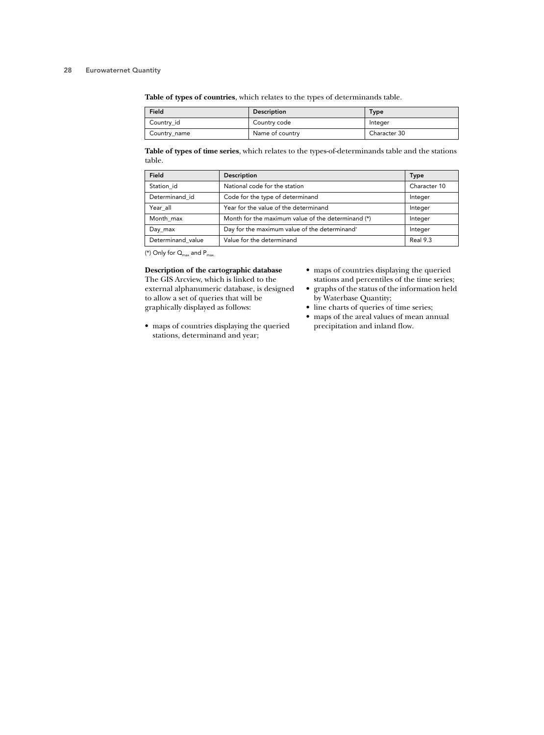**Table of types of countries**, which relates to the types of determinands table.

| Field        | <b>Description</b> | Type         |
|--------------|--------------------|--------------|
| Country_id   | Country code       | Integer      |
| Country_name | Name of country    | Character 30 |

**Table of types of time series**, which relates to the types-of-determinands table and the stations table.

| Field             | Description                                        | <b>Type</b>  |
|-------------------|----------------------------------------------------|--------------|
| Station id        | National code for the station                      | Character 10 |
| Determinand id    | Code for the type of determinand                   | Integer      |
| Year all          | Year for the value of the determinand              | Integer      |
| Month max         | Month for the maximum value of the determinand (*) | Integer      |
| Day_max           | Day for the maximum value of the determinand*      | Integer      |
| Determinand value | Value for the determinand                          | Real 9.3     |

(\*) Only for  $Q_{\text{max}}$  and  $P_{\text{max}}$ 

**Description of the cartographic database**

The GIS Arcview, which is linked to the external alphanumeric database, is designed to allow a set of queries that will be graphically displayed as follows:

- maps of countries displaying the queried stations and percentiles of the time series;
- graphs of the status of the information held by Waterbase Quantity;
- line charts of queries of time series;
- maps of the areal values of mean annual precipitation and inland flow.
- maps of countries displaying the queried stations, determinand and year;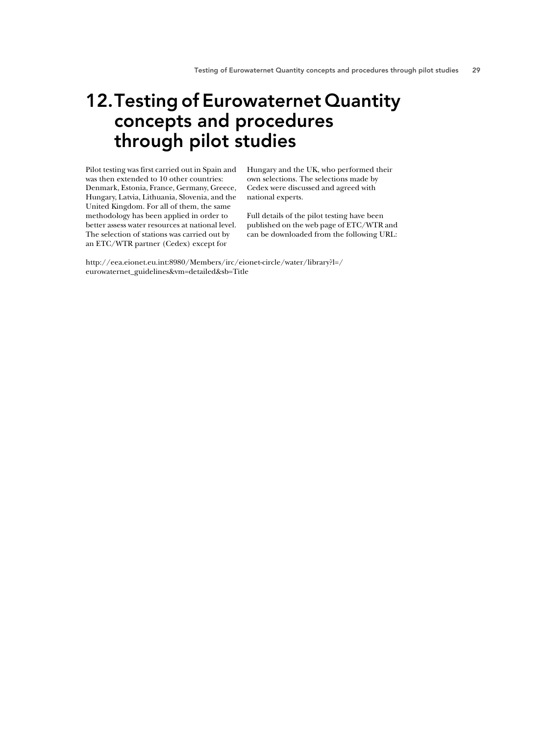## 12.Testing of Eurowaternet Quantity concepts and procedures through pilot studies

Pilot testing was first carried out in Spain and was then extended to 10 other countries: Denmark, Estonia, France, Germany, Greece, Hungary, Latvia, Lithuania, Slovenia, and the United Kingdom. For all of them, the same methodology has been applied in order to better assess water resources at national level. The selection of stations was carried out by an ETC/WTR partner (Cedex) except for

Hungary and the UK, who performed their own selections. The selections made by Cedex were discussed and agreed with national experts.

Full details of the pilot testing have been published on the web page of ETC/WTR and can be downloaded from the following URL:

http://eea.eionet.eu.int:8980/Members/irc/eionet-circle/water/library?l=/ eurowaternet\_guidelines&vm=detailed&sb=Title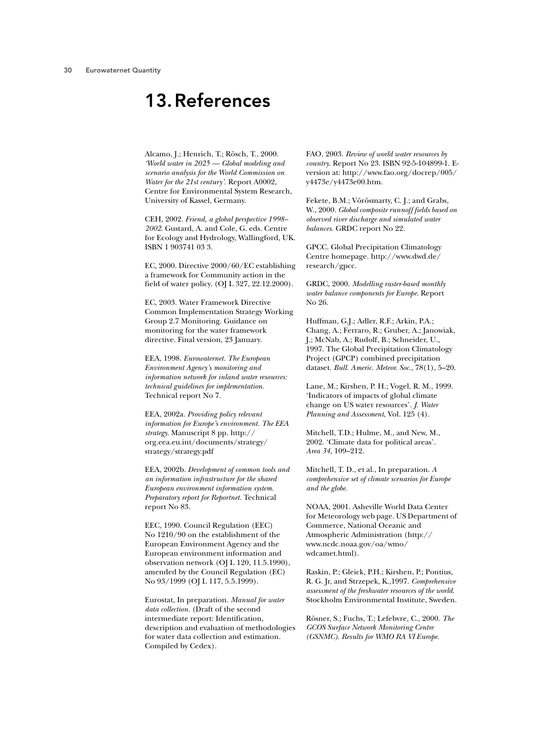## 13.References

Alcamo, J.; Henrich, T.; Rösch, T., 2000. *'World water in 2025 — Global modeling and scenario analysis for the World Commission on Water for the 21st century'.* Report A0002, Centre for Environmental System Research, University of Kassel, Germany.

CEH, 2002. *Friend, a global perspective 1998– 2002*. Gustard, A. and Cole, G. eds. Centre for Ecology and Hydrology, Wallingford, UK. ISBN 1 903741 03 3.

EC, 2000. Directive 2000/60/EC establishing a framework for Community action in the field of water policy. (OJ L 327, 22.12.2000).

EC, 2003. Water Framework Directive Common Implementation Strategy Working Group 2.7 Monitoring. Guidance on monitoring for the water framework directive. Final version, 23 January.

EEA, 1998. *Eurowaternet. The European Environment Agency's monitoring and information network for inland water resources: technical guidelines for implementation.* Technical report No 7.

EEA, 2002a. *Providing policy relevant information for Europe's environment. The EEA strategy.* Manuscript 8 pp. http:// org.eea.eu.int/documents/strategy/ strategy/strategy.pdf

EEA, 2002b. *Development of common tools and an information infrastructure for the shared European environment information system. Preparatory report for Reportnet.* Technical report No 83.

EEC, 1990. Council Regulation (EEC) No 1210/90 on the establishment of the European Environment Agency and the European environment information and observation network (OJ L 120, 11.5.1990), amended by the Council Regulation (EC) No 93/1999 (OJ L 117, 5.5.1999).

Eurostat, In preparation. *Manual for water data collection.* (Draft of the second intermediate report: Identification, description and evaluation of methodologies for water data collection and estimation. Compiled by Cedex).

FAO, 2003. *Review of world water resources by country.* Report No 23. ISBN 92-5-104899-1. Eversion at: http://www.fao.org/docrep/005/ y4473e/y4473e00.htm.

Fekete, B.M.; Vörösmarty, C. J.; and Grabs, W., 2000. *Global composite runnoff fields based on observed river discharge and simulated water balances.* GRDC report No 22.

GPCC. Global Precipitation Climatology Centre homepage. http://www.dwd.de/ research/gpcc.

GRDC, 2000. *Modelling raster-based monthly water balance components for Europe.* Report No 26.

Huffman, G.J.; Adler, R.F.; Arkin, P.A.; Chang, A.; Ferraro, R.; Gruber, A.; Janowiak, J.; McNab, A.; Rudolf, B.; Schneider, U., 1997. The Global Precipitation Climatology Project (GPCP) combined precipitation dataset. *Bull. Americ. Meteor. Soc*., 78(1), 5–20.

Lane, M.; Kirshen, P. H.; Vogel, R. M., 1999. 'Indicators of impacts of global climate change on US water resources'. *J. Water Planning and Assessment*, Vol. 125 (4).

Mitchell, T.D.; Hulme, M., and New, M., 2002. 'Climate data for political areas'. *Area 34,* 109–212.

Mitchell, T. D., et al., In preparation. *A comprehensive set of climate scenarios for Europe and the globe.*

NOAA, 2001. Asheville World Data Center for Meteorology web page. US Department of Commerce, National Oceanic and Atmospheric Administration (http:// www.ncdc.noaa.gov/oa/wmo/ wdcamet.html).

Raskin, P.; Gleick, P.H.; Kirshen, P.; Pontius, R. G. Jr, and Strzepek, K.,1997. *Comprehensive assessment of the freshwater resources of the world*. Stockholm Environmental Institute, Sweden.

Rösner, S.; Fuchs, T.; Lefebvre, C., 2000. *The GCOS Surface Network Monitoring Centre (GSNMC). Results for WMO RA VI Europe*.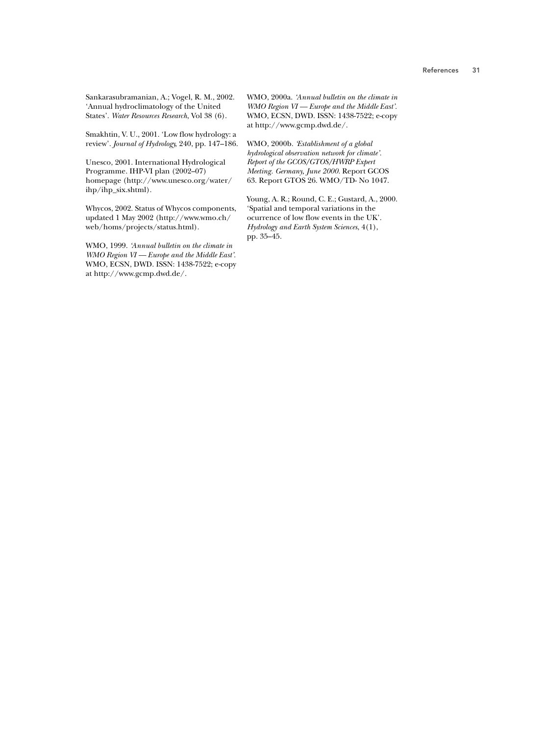Sankarasubramanian, A.; Vogel, R. M., 2002. 'Annual hydroclimatology of the United States'. *Water Resources Research*, Vol 38 (6).

Smakhtin, V. U., 2001. 'Low flow hydrology: a review'. *Journal of Hydrology*, 240, pp. 147–186.

Unesco, 2001. International Hydrological Programme. IHP-VI plan (2002–07) homepage (http://www.unesco.org/water/ ihp/ihp\_six.shtml).

Whycos, 2002. Status of Whycos components, updated 1 May 2002 (http://www.wmo.ch/ web/homs/projects/status.html).

WMO, 1999. *'Annual bulletin on the climate in WMO Region VI — Europe and the Middle East'.* WMO, ECSN, DWD. ISSN: 1438-7522; e-copy at http://www.gcmp.dwd.de/.

WMO, 2000a. *'Annual bulletin on the climate in WMO Region VI — Europe and the Middle East'.* WMO, ECSN, DWD. ISSN: 1438-7522; e-copy at http://www.gcmp.dwd.de/.

WMO, 2000b. *'Establishment of a global hydrological observation network for climate'. Report of the GCOS/GTOS/HWRP Expert Meeting. Germany, June 2000.* Report GCOS 63. Report GTOS 26. WMO/TD- No 1047.

Young, A. R.; Round, C. E.; Gustard, A., 2000. 'Spatial and temporal variations in the ocurrence of low flow events in the UK'. *Hydrology and Earth System Sciences*, 4(1), pp. 35–45.